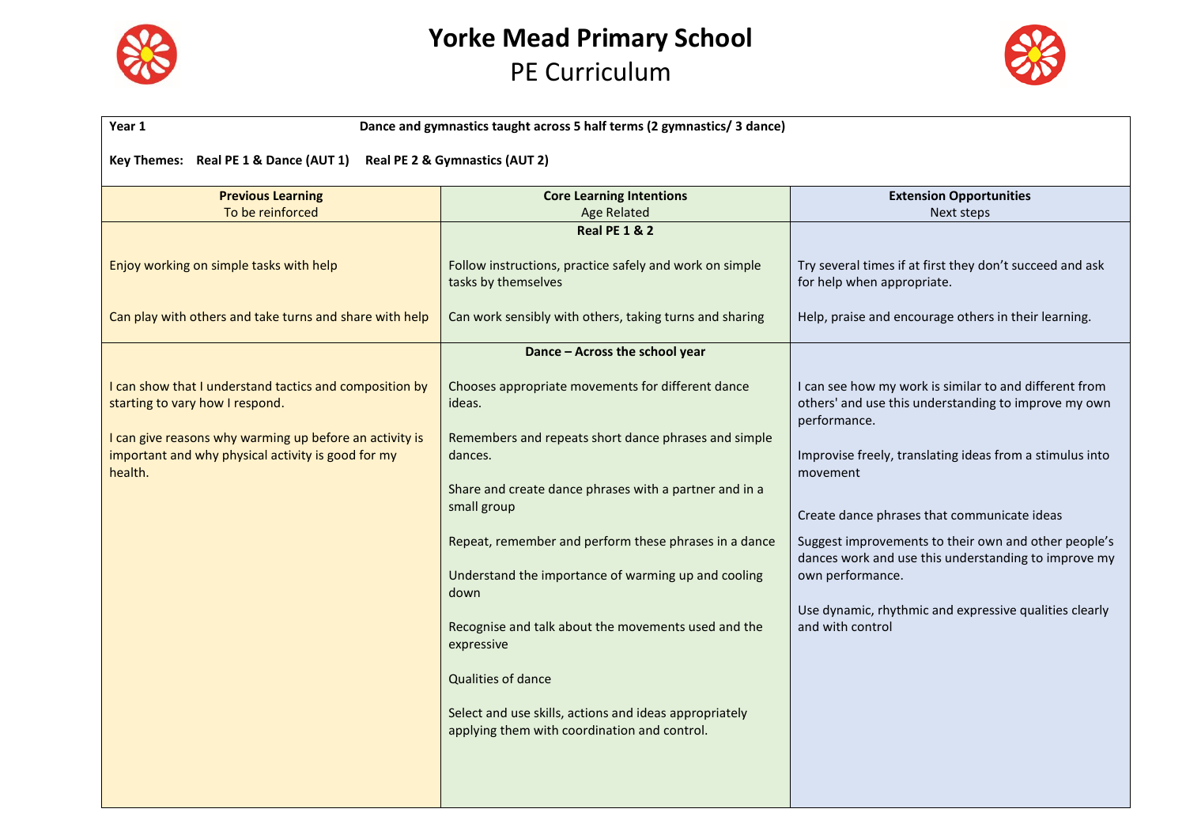

# **Yorke Mead Primary School**

# PE Curriculum



| Year 1                                                                                                                                                | Dance and gymnastics taught across 5 half terms (2 gymnastics/ 3 dance)                                             |                                                                                                                                |  |
|-------------------------------------------------------------------------------------------------------------------------------------------------------|---------------------------------------------------------------------------------------------------------------------|--------------------------------------------------------------------------------------------------------------------------------|--|
| Key Themes: Real PE 1 & Dance (AUT 1)<br>Real PE 2 & Gymnastics (AUT 2)                                                                               |                                                                                                                     |                                                                                                                                |  |
| <b>Previous Learning</b>                                                                                                                              | <b>Core Learning Intentions</b>                                                                                     | <b>Extension Opportunities</b>                                                                                                 |  |
| To be reinforced                                                                                                                                      | Age Related                                                                                                         | Next steps                                                                                                                     |  |
|                                                                                                                                                       | <b>Real PE 1 &amp; 2</b>                                                                                            |                                                                                                                                |  |
| Enjoy working on simple tasks with help                                                                                                               | Follow instructions, practice safely and work on simple<br>tasks by themselves                                      | Try several times if at first they don't succeed and ask<br>for help when appropriate.                                         |  |
| Can play with others and take turns and share with help                                                                                               | Can work sensibly with others, taking turns and sharing                                                             | Help, praise and encourage others in their learning.                                                                           |  |
|                                                                                                                                                       | Dance - Across the school year                                                                                      |                                                                                                                                |  |
| I can show that I understand tactics and composition by<br>starting to vary how I respond.<br>I can give reasons why warming up before an activity is | Chooses appropriate movements for different dance<br>ideas.<br>Remembers and repeats short dance phrases and simple | I can see how my work is similar to and different from<br>others' and use this understanding to improve my own<br>performance. |  |
| important and why physical activity is good for my<br>health.                                                                                         | dances.<br>Share and create dance phrases with a partner and in a                                                   | Improvise freely, translating ideas from a stimulus into<br>movement                                                           |  |
|                                                                                                                                                       | small group                                                                                                         | Create dance phrases that communicate ideas                                                                                    |  |
|                                                                                                                                                       | Repeat, remember and perform these phrases in a dance                                                               | Suggest improvements to their own and other people's<br>dances work and use this understanding to improve my                   |  |
|                                                                                                                                                       | Understand the importance of warming up and cooling<br>down                                                         | own performance.<br>Use dynamic, rhythmic and expressive qualities clearly                                                     |  |
|                                                                                                                                                       | Recognise and talk about the movements used and the<br>expressive                                                   | and with control                                                                                                               |  |
|                                                                                                                                                       | Qualities of dance                                                                                                  |                                                                                                                                |  |
|                                                                                                                                                       | Select and use skills, actions and ideas appropriately<br>applying them with coordination and control.              |                                                                                                                                |  |
|                                                                                                                                                       |                                                                                                                     |                                                                                                                                |  |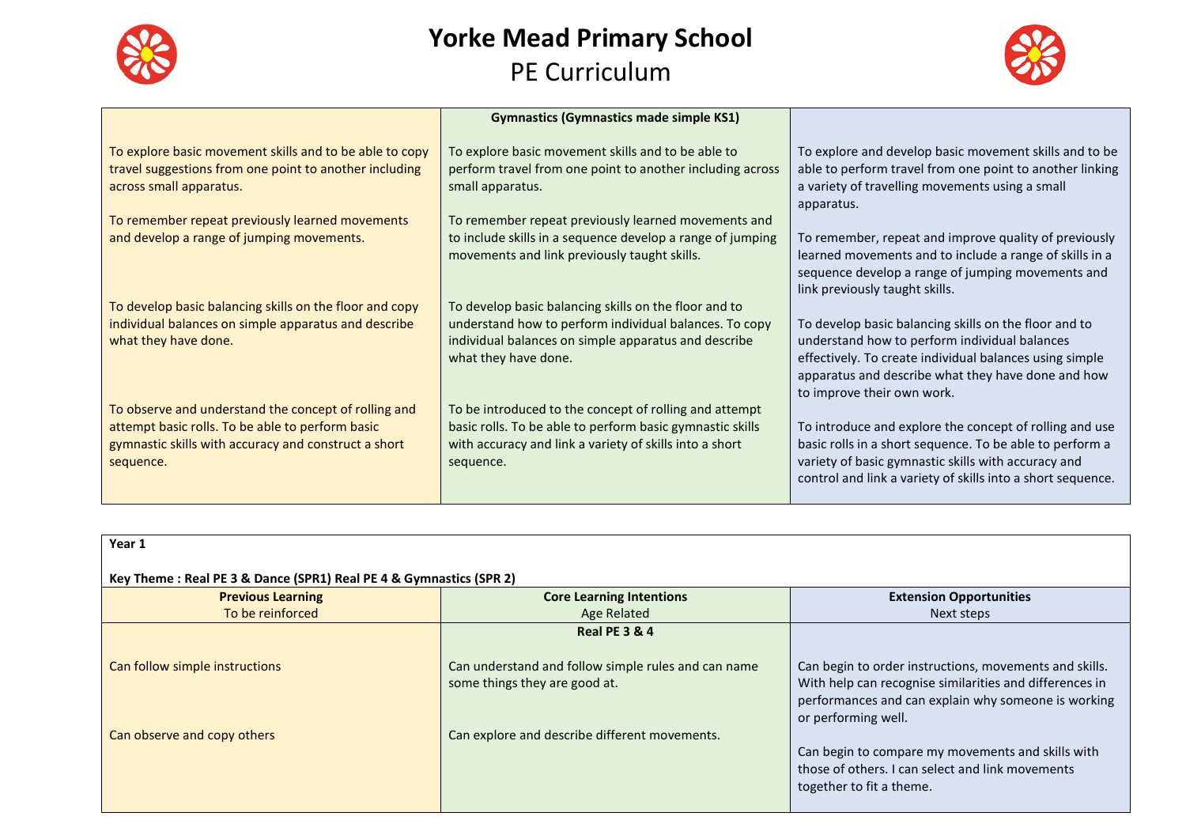



|                                                                                                                                                                               | <b>Gymnastics (Gymnastics made simple KS1)</b>                                                                                                                                                  |                                                                                                                                                                                                                                                       |
|-------------------------------------------------------------------------------------------------------------------------------------------------------------------------------|-------------------------------------------------------------------------------------------------------------------------------------------------------------------------------------------------|-------------------------------------------------------------------------------------------------------------------------------------------------------------------------------------------------------------------------------------------------------|
| To explore basic movement skills and to be able to copy<br>travel suggestions from one point to another including<br>across small apparatus.                                  | To explore basic movement skills and to be able to<br>perform travel from one point to another including across<br>small apparatus.                                                             | To explore and develop basic movement skills and to be<br>able to perform travel from one point to another linking<br>a variety of travelling movements using a small<br>apparatus.                                                                   |
| To remember repeat previously learned movements<br>and develop a range of jumping movements.                                                                                  | To remember repeat previously learned movements and<br>to include skills in a sequence develop a range of jumping<br>movements and link previously taught skills.                               | To remember, repeat and improve quality of previously<br>learned movements and to include a range of skills in a<br>sequence develop a range of jumping movements and<br>link previously taught skills.                                               |
| To develop basic balancing skills on the floor and copy<br>individual balances on simple apparatus and describe<br>what they have done.                                       | To develop basic balancing skills on the floor and to<br>understand how to perform individual balances. To copy<br>individual balances on simple apparatus and describe<br>what they have done. | To develop basic balancing skills on the floor and to<br>understand how to perform individual balances<br>effectively. To create individual balances using simple<br>apparatus and describe what they have done and how<br>to improve their own work. |
| To observe and understand the concept of rolling and<br>attempt basic rolls. To be able to perform basic<br>gymnastic skills with accuracy and construct a short<br>sequence. | To be introduced to the concept of rolling and attempt<br>basic rolls. To be able to perform basic gymnastic skills<br>with accuracy and link a variety of skills into a short<br>sequence.     | To introduce and explore the concept of rolling and use<br>basic rolls in a short sequence. To be able to perform a<br>variety of basic gymnastic skills with accuracy and<br>control and link a variety of skills into a short sequence.             |

| Year 1                                                             |                                                                                      |                                                                                                                                                                                                 |
|--------------------------------------------------------------------|--------------------------------------------------------------------------------------|-------------------------------------------------------------------------------------------------------------------------------------------------------------------------------------------------|
| Key Theme: Real PE 3 & Dance (SPR1) Real PE 4 & Gymnastics (SPR 2) |                                                                                      |                                                                                                                                                                                                 |
| <b>Previous Learning</b>                                           | <b>Core Learning Intentions</b>                                                      | <b>Extension Opportunities</b>                                                                                                                                                                  |
| To be reinforced                                                   | Age Related                                                                          | Next steps                                                                                                                                                                                      |
|                                                                    | <b>Real PE 3 &amp; 4</b>                                                             |                                                                                                                                                                                                 |
| Can follow simple instructions                                     | Can understand and follow simple rules and can name<br>some things they are good at. | Can begin to order instructions, movements and skills.<br>With help can recognise similarities and differences in<br>performances and can explain why someone is working<br>or performing well. |
| Can observe and copy others                                        | Can explore and describe different movements.                                        | Can begin to compare my movements and skills with<br>those of others. I can select and link movements<br>together to fit a theme.                                                               |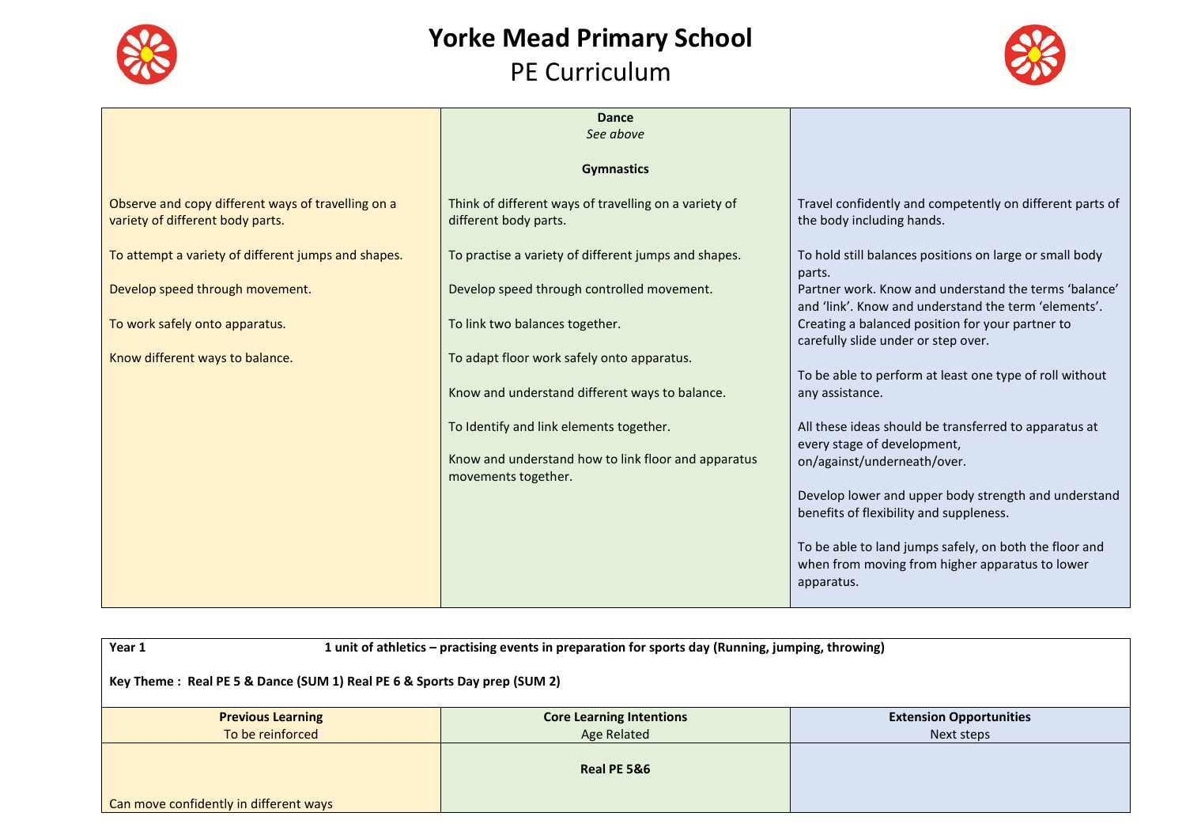



|                                                                                        | <b>Dance</b>                                                                   |                                                                                                                         |
|----------------------------------------------------------------------------------------|--------------------------------------------------------------------------------|-------------------------------------------------------------------------------------------------------------------------|
|                                                                                        | See above                                                                      |                                                                                                                         |
|                                                                                        | <b>Gymnastics</b>                                                              |                                                                                                                         |
| Observe and copy different ways of travelling on a<br>variety of different body parts. | Think of different ways of travelling on a variety of<br>different body parts. | Travel confidently and competently on different parts of<br>the body including hands.                                   |
| To attempt a variety of different jumps and shapes.                                    | To practise a variety of different jumps and shapes.                           | To hold still balances positions on large or small body<br>parts.                                                       |
| Develop speed through movement.                                                        | Develop speed through controlled movement.                                     | Partner work. Know and understand the terms 'balance'<br>and 'link'. Know and understand the term 'elements'.           |
| To work safely onto apparatus.                                                         | To link two balances together.                                                 | Creating a balanced position for your partner to<br>carefully slide under or step over.                                 |
| Know different ways to balance.                                                        | To adapt floor work safely onto apparatus.                                     | To be able to perform at least one type of roll without                                                                 |
|                                                                                        | Know and understand different ways to balance.                                 | any assistance.                                                                                                         |
|                                                                                        | To Identify and link elements together.                                        | All these ideas should be transferred to apparatus at<br>every stage of development,                                    |
|                                                                                        | Know and understand how to link floor and apparatus<br>movements together.     | on/against/underneath/over.                                                                                             |
|                                                                                        |                                                                                | Develop lower and upper body strength and understand<br>benefits of flexibility and suppleness.                         |
|                                                                                        |                                                                                | To be able to land jumps safely, on both the floor and<br>when from moving from higher apparatus to lower<br>apparatus. |

| Year 1                                                                   | 1 unit of athletics - practising events in preparation for sports day (Running, jumping, throwing) |            |  |  |
|--------------------------------------------------------------------------|----------------------------------------------------------------------------------------------------|------------|--|--|
| Key Theme: Real PE 5 & Dance (SUM 1) Real PE 6 & Sports Day prep (SUM 2) |                                                                                                    |            |  |  |
| <b>Previous Learning</b>                                                 | <b>Core Learning Intentions</b><br><b>Extension Opportunities</b>                                  |            |  |  |
| To be reinforced                                                         | Age Related                                                                                        | Next steps |  |  |
| Can move confidently in different ways                                   | Real PE 5&6                                                                                        |            |  |  |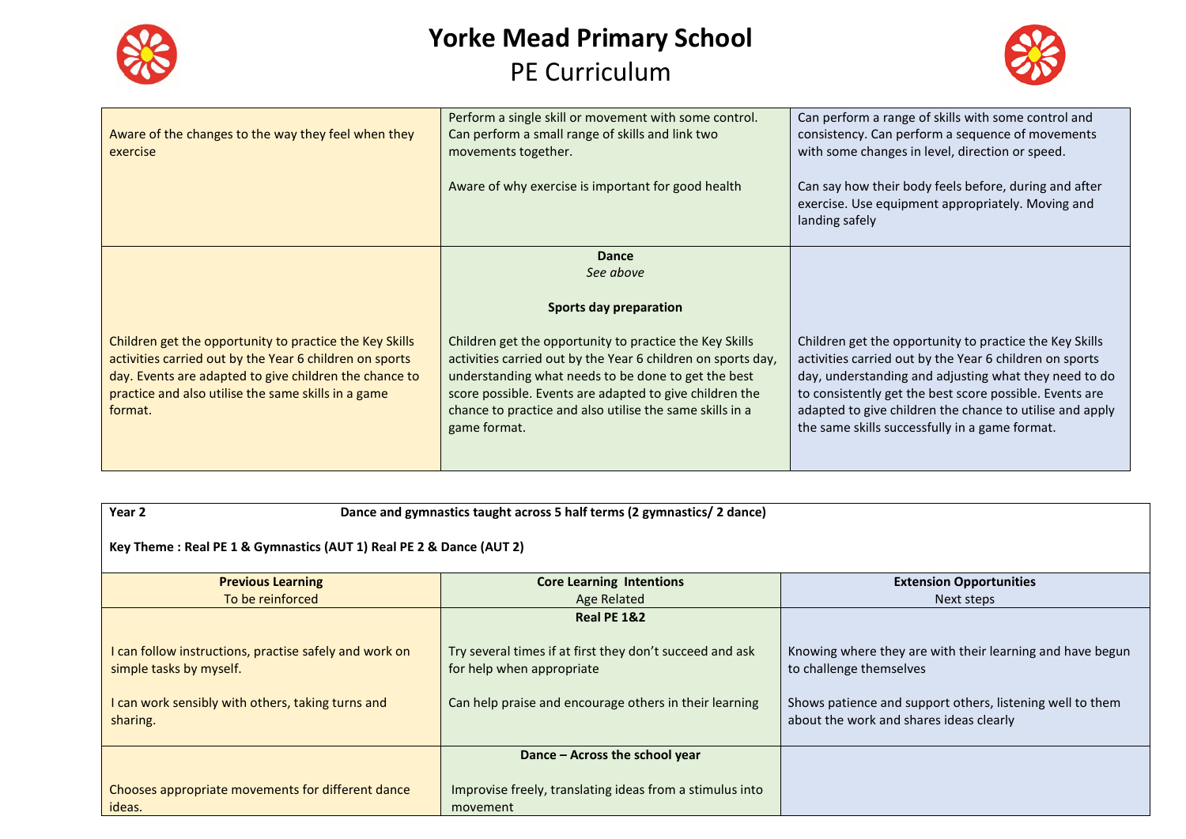



| Aware of the changes to the way they feel when they<br>exercise                                                                                                                                                                                | Perform a single skill or movement with some control.<br>Can perform a small range of skills and link two<br>movements together.<br>Aware of why exercise is important for good health                                                                                                                                                                                       | Can perform a range of skills with some control and<br>consistency. Can perform a sequence of movements<br>with some changes in level, direction or speed.<br>Can say how their body feels before, during and after<br>exercise. Use equipment appropriately. Moving and<br>landing safely                                                           |
|------------------------------------------------------------------------------------------------------------------------------------------------------------------------------------------------------------------------------------------------|------------------------------------------------------------------------------------------------------------------------------------------------------------------------------------------------------------------------------------------------------------------------------------------------------------------------------------------------------------------------------|------------------------------------------------------------------------------------------------------------------------------------------------------------------------------------------------------------------------------------------------------------------------------------------------------------------------------------------------------|
| Children get the opportunity to practice the Key Skills<br>activities carried out by the Year 6 children on sports<br>day. Events are adapted to give children the chance to<br>practice and also utilise the same skills in a game<br>format. | <b>Dance</b><br>See above<br>Sports day preparation<br>Children get the opportunity to practice the Key Skills<br>activities carried out by the Year 6 children on sports day,<br>understanding what needs to be done to get the best<br>score possible. Events are adapted to give children the<br>chance to practice and also utilise the same skills in a<br>game format. | Children get the opportunity to practice the Key Skills<br>activities carried out by the Year 6 children on sports<br>day, understanding and adjusting what they need to do<br>to consistently get the best score possible. Events are<br>adapted to give children the chance to utilise and apply<br>the same skills successfully in a game format. |

#### **Year 2 Dance and gymnastics taught across 5 half terms (2 gymnastics/ 2 dance)**

**Key Theme : Real PE 1 & Gymnastics (AUT 1) Real PE 2 & Dance (AUT 2)**

| <b>Previous Learning</b>                                                                                                                           | <b>Core Learning Intentions</b>                                                                                                                 | <b>Extension Opportunities</b>                                                                                                                                                               |
|----------------------------------------------------------------------------------------------------------------------------------------------------|-------------------------------------------------------------------------------------------------------------------------------------------------|----------------------------------------------------------------------------------------------------------------------------------------------------------------------------------------------|
| To be reinforced                                                                                                                                   | Age Related                                                                                                                                     | Next steps                                                                                                                                                                                   |
|                                                                                                                                                    | Real PE 1&2                                                                                                                                     |                                                                                                                                                                                              |
| I can follow instructions, practise safely and work on<br>simple tasks by myself.<br>I can work sensibly with others, taking turns and<br>sharing. | Try several times if at first they don't succeed and ask<br>for help when appropriate<br>Can help praise and encourage others in their learning | Knowing where they are with their learning and have begun<br>to challenge themselves<br>Shows patience and support others, listening well to them<br>about the work and shares ideas clearly |
|                                                                                                                                                    | Dance – Across the school year                                                                                                                  |                                                                                                                                                                                              |
| Chooses appropriate movements for different dance<br>ideas.                                                                                        | Improvise freely, translating ideas from a stimulus into<br>movement                                                                            |                                                                                                                                                                                              |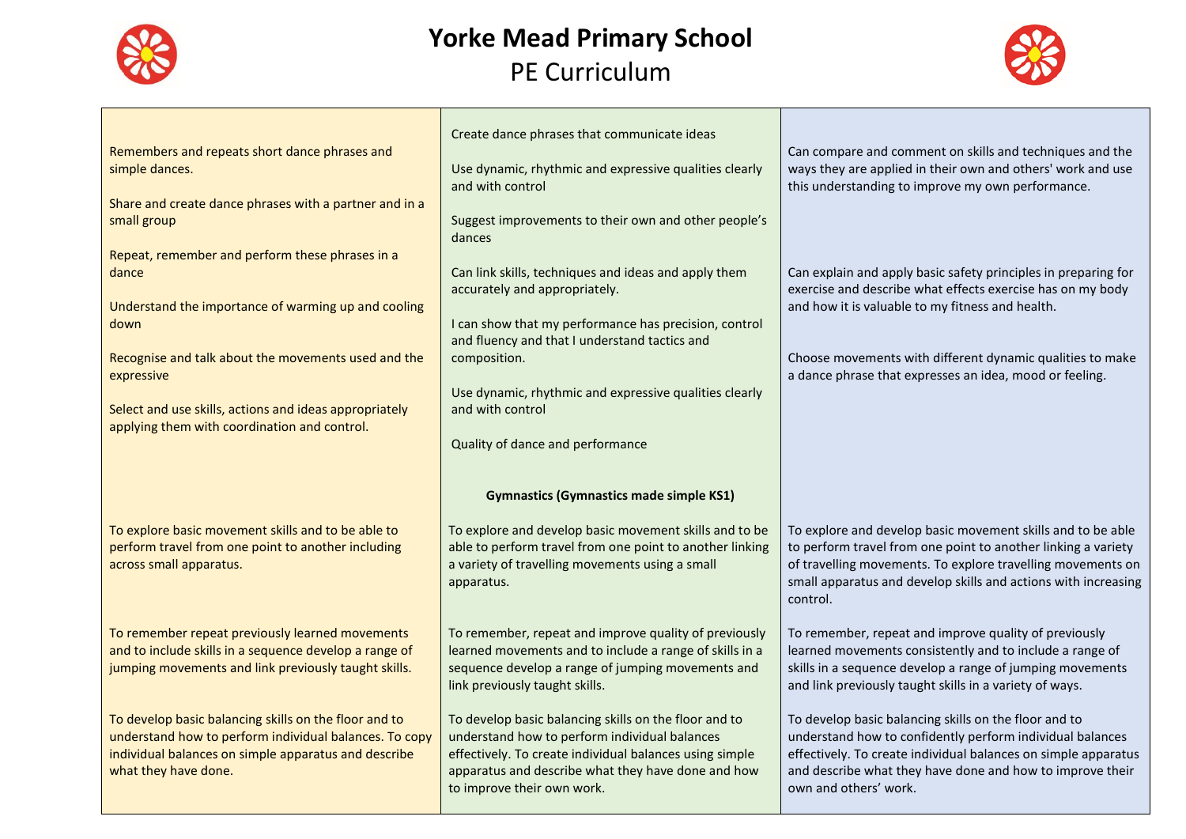



| Remembers and repeats short dance phrases and<br>simple dances.<br>Share and create dance phrases with a partner and in a<br>small group                                                                                                                                                               | Create dance phrases that communicate ideas<br>Use dynamic, rhythmic and expressive qualities clearly<br>and with control<br>Suggest improvements to their own and other people's                                                                                                                                                           | Can compare and comment on skills and techniques and the<br>ways they are applied in their own and others' work and use<br>this understanding to improve my own performance.                                                                                                                                            |  |
|--------------------------------------------------------------------------------------------------------------------------------------------------------------------------------------------------------------------------------------------------------------------------------------------------------|---------------------------------------------------------------------------------------------------------------------------------------------------------------------------------------------------------------------------------------------------------------------------------------------------------------------------------------------|-------------------------------------------------------------------------------------------------------------------------------------------------------------------------------------------------------------------------------------------------------------------------------------------------------------------------|--|
| Repeat, remember and perform these phrases in a<br>dance<br>Understand the importance of warming up and cooling<br>down<br>Recognise and talk about the movements used and the<br>expressive<br>Select and use skills, actions and ideas appropriately<br>applying them with coordination and control. | dances<br>Can link skills, techniques and ideas and apply them<br>accurately and appropriately.<br>I can show that my performance has precision, control<br>and fluency and that I understand tactics and<br>composition.<br>Use dynamic, rhythmic and expressive qualities clearly<br>and with control<br>Quality of dance and performance | Can explain and apply basic safety principles in preparing for<br>exercise and describe what effects exercise has on my body<br>and how it is valuable to my fitness and health.<br>Choose movements with different dynamic qualities to make<br>a dance phrase that expresses an idea, mood or feeling.                |  |
|                                                                                                                                                                                                                                                                                                        |                                                                                                                                                                                                                                                                                                                                             |                                                                                                                                                                                                                                                                                                                         |  |
| To explore basic movement skills and to be able to<br>perform travel from one point to another including<br>across small apparatus.                                                                                                                                                                    | <b>Gymnastics (Gymnastics made simple KS1)</b><br>To explore and develop basic movement skills and to be<br>able to perform travel from one point to another linking<br>a variety of travelling movements using a small                                                                                                                     | To explore and develop basic movement skills and to be able<br>to perform travel from one point to another linking a variety<br>of travelling movements. To explore travelling movements on                                                                                                                             |  |
| To remember repeat previously learned movements<br>and to include skills in a sequence develop a range of<br>jumping movements and link previously taught skills.                                                                                                                                      | apparatus.<br>To remember, repeat and improve quality of previously<br>learned movements and to include a range of skills in a<br>sequence develop a range of jumping movements and<br>link previously taught skills.                                                                                                                       | small apparatus and develop skills and actions with increasing<br>control.<br>To remember, repeat and improve quality of previously<br>learned movements consistently and to include a range of<br>skills in a sequence develop a range of jumping movements<br>and link previously taught skills in a variety of ways. |  |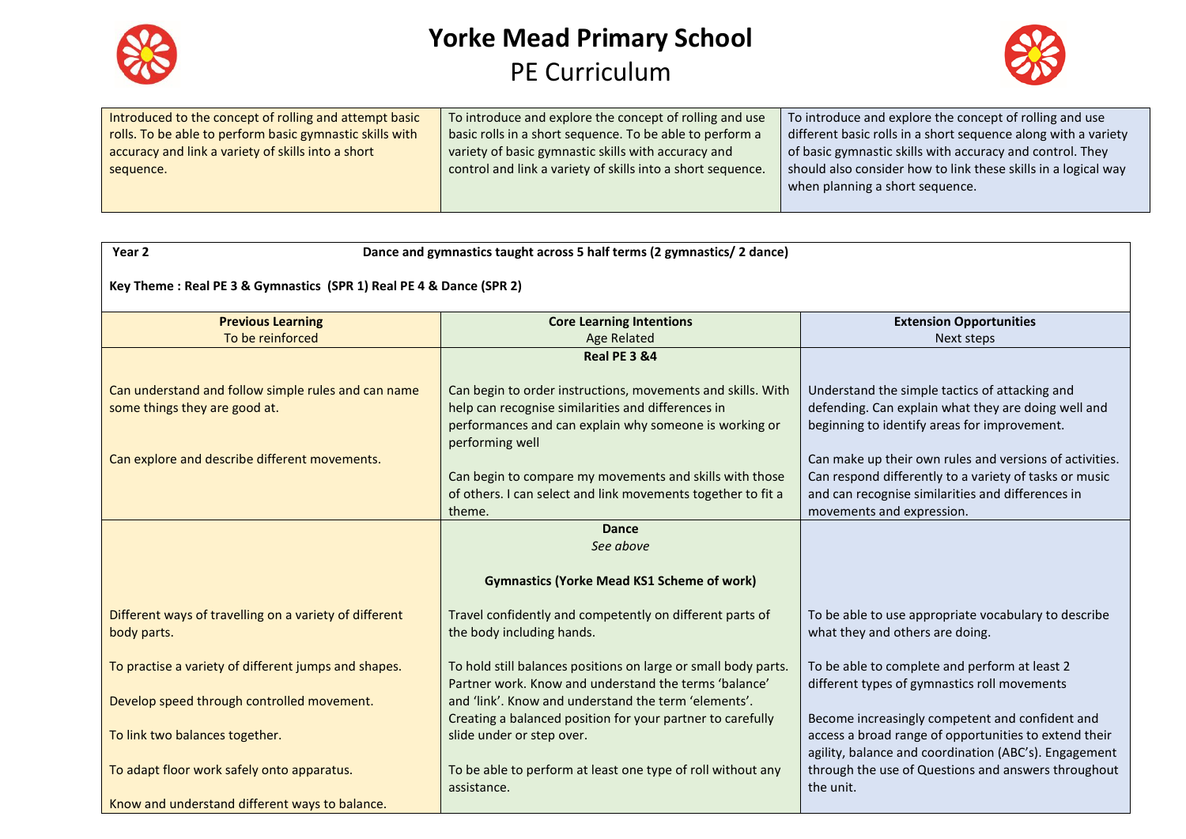



| Introduced to the concept of rolling and attempt basic   | To introduce and explore the concept of rolling and use     | To introduce and explore the concept of rolling and use        |
|----------------------------------------------------------|-------------------------------------------------------------|----------------------------------------------------------------|
| rolls. To be able to perform basic gymnastic skills with | basic rolls in a short sequence. To be able to perform a    | different basic rolls in a short sequence along with a variety |
| accuracy and link a variety of skills into a short       | variety of basic gymnastic skills with accuracy and         | of basic gymnastic skills with accuracy and control. They      |
| sequence.                                                | control and link a variety of skills into a short sequence. | should also consider how to link these skills in a logical way |
|                                                          |                                                             | when planning a short sequence.                                |
|                                                          |                                                             |                                                                |

| Year 2                                                                               | Dance and gymnastics taught across 5 half terms (2 gymnastics/ 2 dance)                                                                                                                        |                                                                                                                                                                                                     |  |
|--------------------------------------------------------------------------------------|------------------------------------------------------------------------------------------------------------------------------------------------------------------------------------------------|-----------------------------------------------------------------------------------------------------------------------------------------------------------------------------------------------------|--|
| Key Theme: Real PE 3 & Gymnastics (SPR 1) Real PE 4 & Dance (SPR 2)                  |                                                                                                                                                                                                |                                                                                                                                                                                                     |  |
| <b>Previous Learning</b>                                                             | <b>Core Learning Intentions</b>                                                                                                                                                                | <b>Extension Opportunities</b>                                                                                                                                                                      |  |
| To be reinforced                                                                     | <b>Age Related</b>                                                                                                                                                                             | Next steps                                                                                                                                                                                          |  |
|                                                                                      | <b>Real PE 3 &amp;4</b>                                                                                                                                                                        |                                                                                                                                                                                                     |  |
| Can understand and follow simple rules and can name<br>some things they are good at. | Can begin to order instructions, movements and skills. With<br>help can recognise similarities and differences in<br>performances and can explain why someone is working or<br>performing well | Understand the simple tactics of attacking and<br>defending. Can explain what they are doing well and<br>beginning to identify areas for improvement.                                               |  |
| Can explore and describe different movements.                                        | Can begin to compare my movements and skills with those<br>of others. I can select and link movements together to fit a<br>theme.                                                              | Can make up their own rules and versions of activities.<br>Can respond differently to a variety of tasks or music<br>and can recognise similarities and differences in<br>movements and expression. |  |
|                                                                                      | <b>Dance</b><br>See above                                                                                                                                                                      |                                                                                                                                                                                                     |  |
|                                                                                      | <b>Gymnastics (Yorke Mead KS1 Scheme of work)</b>                                                                                                                                              |                                                                                                                                                                                                     |  |
| Different ways of travelling on a variety of different<br>body parts.                | Travel confidently and competently on different parts of<br>the body including hands.                                                                                                          | To be able to use appropriate vocabulary to describe<br>what they and others are doing.                                                                                                             |  |
| To practise a variety of different jumps and shapes.                                 | To hold still balances positions on large or small body parts.<br>Partner work. Know and understand the terms 'balance'                                                                        | To be able to complete and perform at least 2<br>different types of gymnastics roll movements                                                                                                       |  |
| Develop speed through controlled movement.                                           | and 'link'. Know and understand the term 'elements'.                                                                                                                                           |                                                                                                                                                                                                     |  |
| To link two balances together.                                                       | Creating a balanced position for your partner to carefully<br>slide under or step over.                                                                                                        | Become increasingly competent and confident and<br>access a broad range of opportunities to extend their<br>agility, balance and coordination (ABC's). Engagement                                   |  |
| To adapt floor work safely onto apparatus.                                           | To be able to perform at least one type of roll without any<br>assistance.                                                                                                                     | through the use of Questions and answers throughout<br>the unit.                                                                                                                                    |  |
| Know and understand different ways to balance.                                       |                                                                                                                                                                                                |                                                                                                                                                                                                     |  |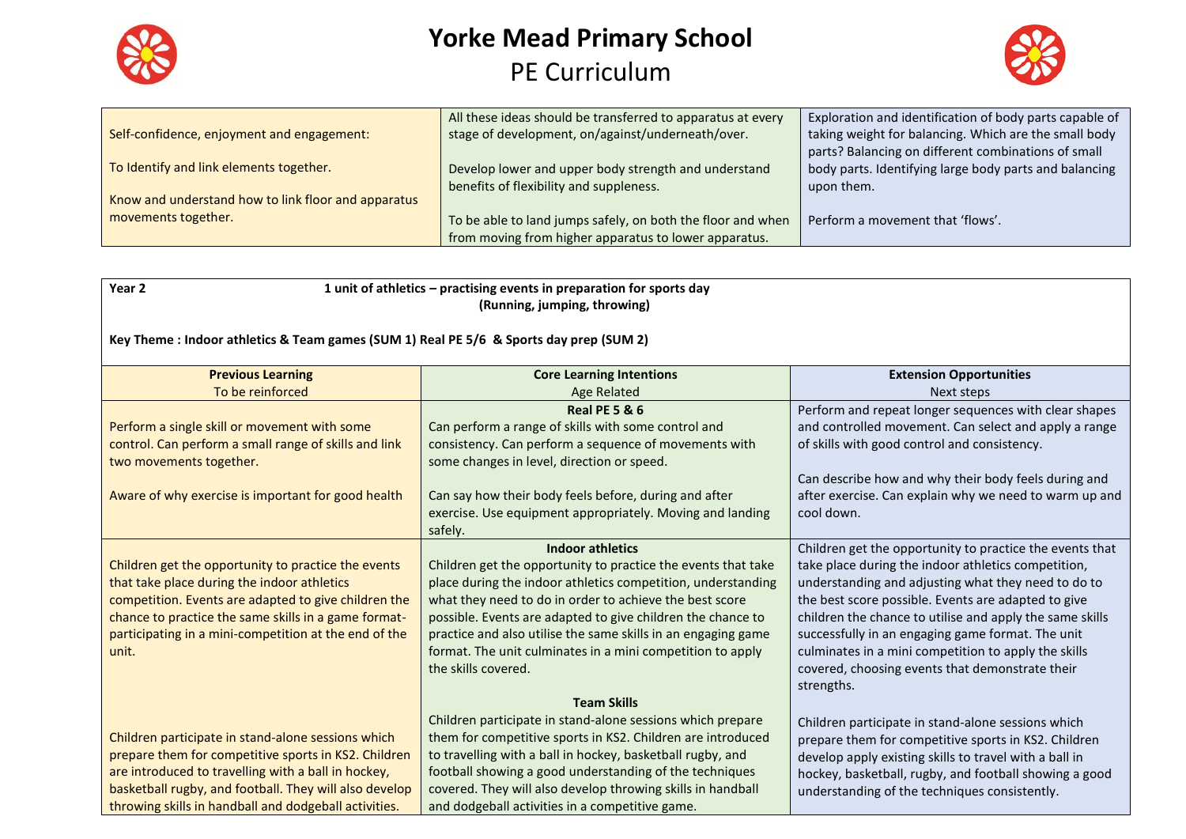



|                                                     | All these ideas should be transferred to apparatus at every | Exploration and identification of body parts capable of |
|-----------------------------------------------------|-------------------------------------------------------------|---------------------------------------------------------|
| Self-confidence, enjoyment and engagement:          | stage of development, on/against/underneath/over.           | taking weight for balancing. Which are the small body   |
|                                                     |                                                             | parts? Balancing on different combinations of small     |
| To Identify and link elements together.             | Develop lower and upper body strength and understand        | body parts. Identifying large body parts and balancing  |
|                                                     | benefits of flexibility and suppleness.                     | upon them.                                              |
| Know and understand how to link floor and apparatus |                                                             |                                                         |
| movements together.                                 | To be able to land jumps safely, on both the floor and when | Perform a movement that 'flows'.                        |
|                                                     | from moving from higher apparatus to lower apparatus.       |                                                         |

| Year <sub>2</sub>                                                                       | 1 unit of athletics - practising events in preparation for sports day<br>(Running, jumping, throwing) |                                                                                                         |  |
|-----------------------------------------------------------------------------------------|-------------------------------------------------------------------------------------------------------|---------------------------------------------------------------------------------------------------------|--|
| Key Theme : Indoor athletics & Team games (SUM 1) Real PE 5/6 & Sports day prep (SUM 2) |                                                                                                       |                                                                                                         |  |
| <b>Previous Learning</b>                                                                | <b>Core Learning Intentions</b>                                                                       | <b>Extension Opportunities</b>                                                                          |  |
| To be reinforced                                                                        | <b>Age Related</b>                                                                                    | Next steps                                                                                              |  |
|                                                                                         | <b>Real PE 5 &amp; 6</b>                                                                              | Perform and repeat longer sequences with clear shapes                                                   |  |
| Perform a single skill or movement with some                                            | Can perform a range of skills with some control and                                                   | and controlled movement. Can select and apply a range                                                   |  |
| control. Can perform a small range of skills and link                                   | consistency. Can perform a sequence of movements with                                                 | of skills with good control and consistency.                                                            |  |
| two movements together.                                                                 | some changes in level, direction or speed.                                                            |                                                                                                         |  |
|                                                                                         |                                                                                                       | Can describe how and why their body feels during and                                                    |  |
| Aware of why exercise is important for good health                                      | Can say how their body feels before, during and after                                                 | after exercise. Can explain why we need to warm up and                                                  |  |
|                                                                                         | exercise. Use equipment appropriately. Moving and landing                                             | cool down.                                                                                              |  |
|                                                                                         | safely.                                                                                               |                                                                                                         |  |
|                                                                                         | <b>Indoor athletics</b>                                                                               | Children get the opportunity to practice the events that                                                |  |
| Children get the opportunity to practice the events                                     | Children get the opportunity to practice the events that take                                         | take place during the indoor athletics competition,                                                     |  |
| that take place during the indoor athletics                                             | place during the indoor athletics competition, understanding                                          | understanding and adjusting what they need to do to                                                     |  |
| competition. Events are adapted to give children the                                    | what they need to do in order to achieve the best score                                               | the best score possible. Events are adapted to give                                                     |  |
| chance to practice the same skills in a game format-                                    | possible. Events are adapted to give children the chance to                                           | children the chance to utilise and apply the same skills                                                |  |
| participating in a mini-competition at the end of the                                   | practice and also utilise the same skills in an engaging game                                         | successfully in an engaging game format. The unit                                                       |  |
| unit.                                                                                   | format. The unit culminates in a mini competition to apply                                            | culminates in a mini competition to apply the skills                                                    |  |
|                                                                                         | the skills covered.                                                                                   | covered, choosing events that demonstrate their                                                         |  |
|                                                                                         | <b>Team Skills</b>                                                                                    | strengths.                                                                                              |  |
|                                                                                         | Children participate in stand-alone sessions which prepare                                            |                                                                                                         |  |
| Children participate in stand-alone sessions which                                      | them for competitive sports in KS2. Children are introduced                                           | Children participate in stand-alone sessions which                                                      |  |
| prepare them for competitive sports in KS2. Children                                    | to travelling with a ball in hockey, basketball rugby, and                                            | prepare them for competitive sports in KS2. Children                                                    |  |
| are introduced to travelling with a ball in hockey,                                     | football showing a good understanding of the techniques                                               | develop apply existing skills to travel with a ball in                                                  |  |
| basketball rugby, and football. They will also develop                                  | covered. They will also develop throwing skills in handball                                           | hockey, basketball, rugby, and football showing a good<br>understanding of the techniques consistently. |  |
| throwing skills in handball and dodgeball activities.                                   | and dodgeball activities in a competitive game.                                                       |                                                                                                         |  |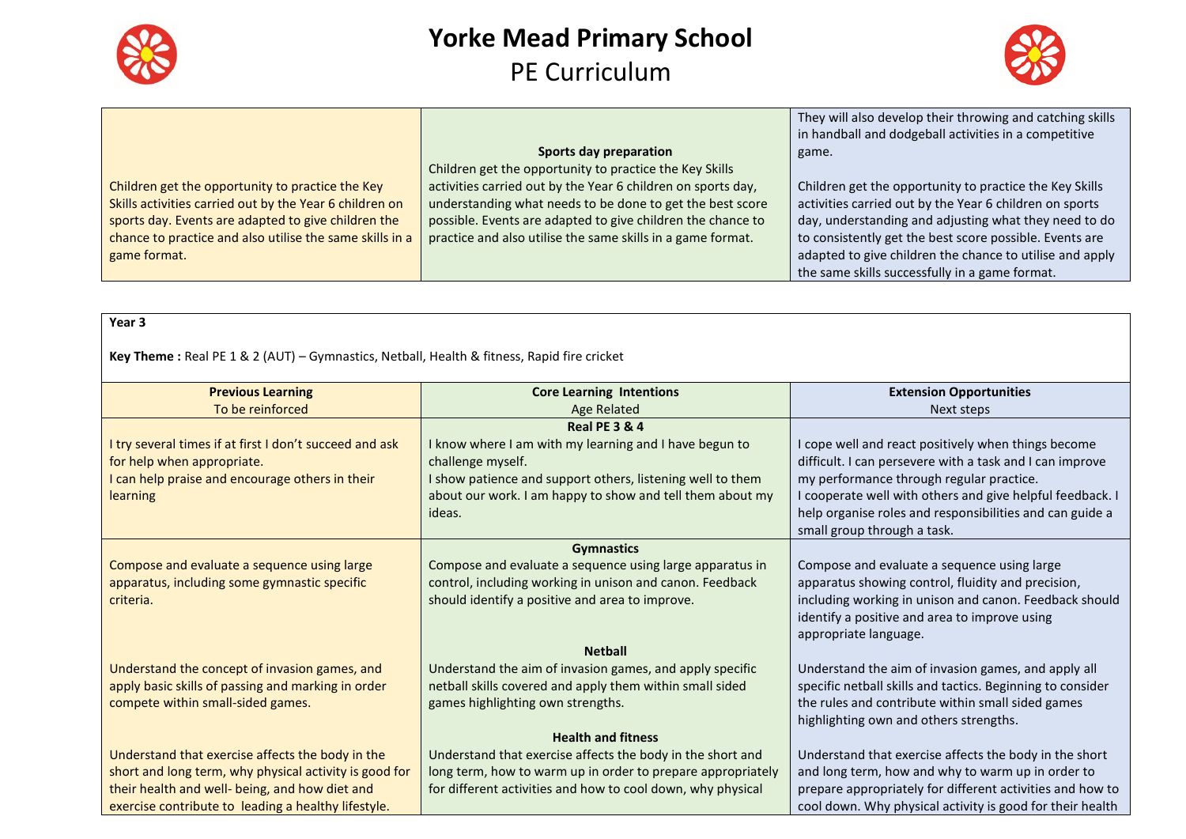



They will also develop their throwing and catching skills

|                                                          |                                                              | in handball and dodgeball activities in a competitive    |
|----------------------------------------------------------|--------------------------------------------------------------|----------------------------------------------------------|
|                                                          | Sports day preparation                                       | game.                                                    |
|                                                          | Children get the opportunity to practice the Key Skills      |                                                          |
| Children get the opportunity to practice the Key         | activities carried out by the Year 6 children on sports day, | Children get the opportunity to practice the Key Skills  |
| Skills activities carried out by the Year 6 children on  | understanding what needs to be done to get the best score    | activities carried out by the Year 6 children on sports  |
| sports day. Events are adapted to give children the      | possible. Events are adapted to give children the chance to  | day, understanding and adjusting what they need to do    |
| chance to practice and also utilise the same skills in a | practice and also utilise the same skills in a game format.  | to consistently get the best score possible. Events are  |
| game format.                                             |                                                              | adapted to give children the chance to utilise and apply |
|                                                          |                                                              | the same skills successfully in a game format.           |

#### **Year 3**

#### **Key Theme :** Real PE 1 & 2 (AUT) – Gymnastics, Netball, Health & fitness, Rapid fire cricket

| <b>Previous Learning</b>                                | <b>Core Learning Intentions</b>                             | <b>Extension Opportunities</b>                             |
|---------------------------------------------------------|-------------------------------------------------------------|------------------------------------------------------------|
| To be reinforced                                        | Age Related                                                 | Next steps                                                 |
|                                                         | <b>Real PE 3 &amp; 4</b>                                    |                                                            |
| I try several times if at first I don't succeed and ask | I know where I am with my learning and I have begun to      | I cope well and react positively when things become        |
| for help when appropriate.                              | challenge myself.                                           | difficult. I can persevere with a task and I can improve   |
| I can help praise and encourage others in their         | I show patience and support others, listening well to them  | my performance through regular practice.                   |
| <b>learning</b>                                         | about our work. I am happy to show and tell them about my   | I cooperate well with others and give helpful feedback. I  |
|                                                         | ideas.                                                      | help organise roles and responsibilities and can guide a   |
|                                                         |                                                             | small group through a task.                                |
|                                                         | <b>Gymnastics</b>                                           |                                                            |
| Compose and evaluate a sequence using large             | Compose and evaluate a sequence using large apparatus in    | Compose and evaluate a sequence using large                |
| apparatus, including some gymnastic specific            | control, including working in unison and canon. Feedback    | apparatus showing control, fluidity and precision,         |
| criteria.                                               | should identify a positive and area to improve.             | including working in unison and canon. Feedback should     |
|                                                         |                                                             | identify a positive and area to improve using              |
|                                                         |                                                             | appropriate language.                                      |
|                                                         | <b>Netball</b>                                              |                                                            |
| Understand the concept of invasion games, and           | Understand the aim of invasion games, and apply specific    | Understand the aim of invasion games, and apply all        |
| apply basic skills of passing and marking in order      | netball skills covered and apply them within small sided    | specific netball skills and tactics. Beginning to consider |
| compete within small-sided games.                       | games highlighting own strengths.                           | the rules and contribute within small sided games          |
|                                                         |                                                             | highlighting own and others strengths.                     |
|                                                         | <b>Health and fitness</b>                                   |                                                            |
| Understand that exercise affects the body in the        | Understand that exercise affects the body in the short and  | Understand that exercise affects the body in the short     |
| short and long term, why physical activity is good for  | long term, how to warm up in order to prepare appropriately | and long term, how and why to warm up in order to          |
| their health and well- being, and how diet and          | for different activities and how to cool down, why physical | prepare appropriately for different activities and how to  |
| exercise contribute to leading a healthy lifestyle.     |                                                             | cool down. Why physical activity is good for their health  |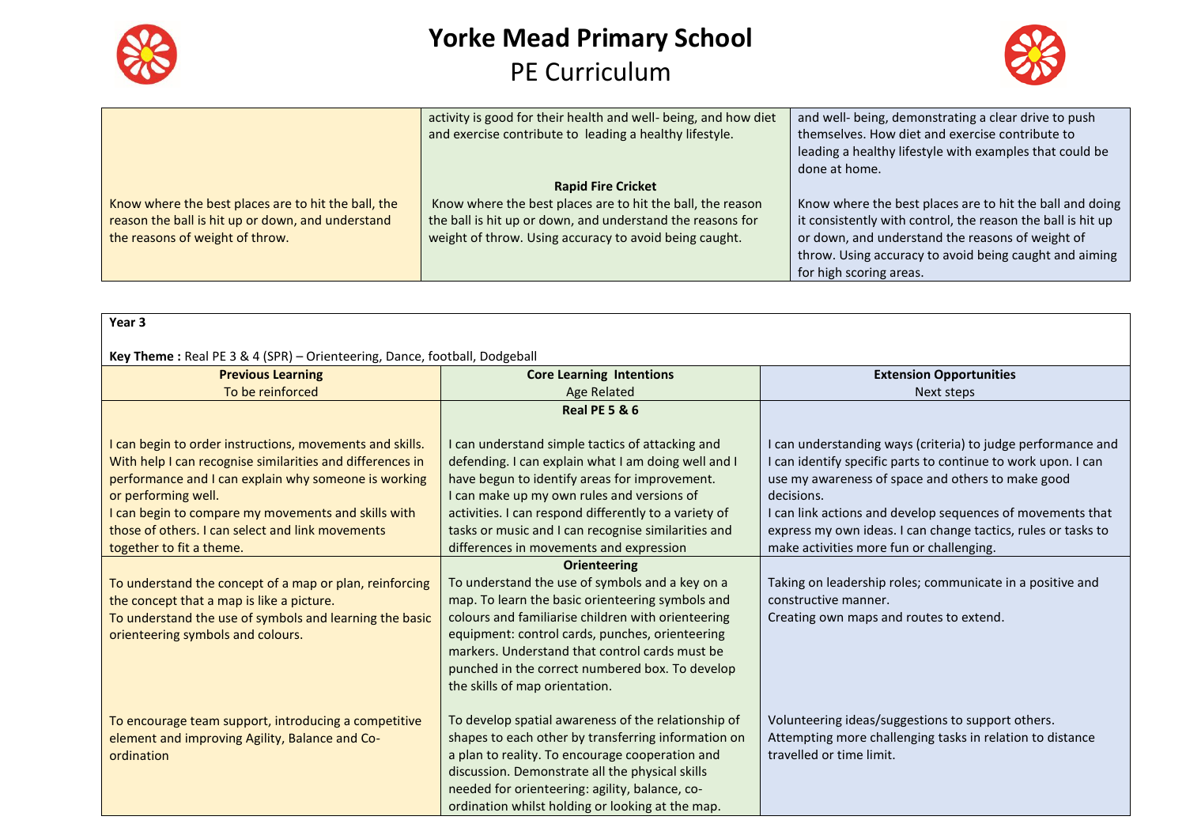



|                                                                                                                                             | activity is good for their health and well- being, and how diet<br>and exercise contribute to leading a healthy lifestyle.                                                                                      | and well- being, demonstrating a clear drive to push<br>themselves. How diet and exercise contribute to<br>leading a healthy lifestyle with examples that could be<br>done at home.                                                                              |
|---------------------------------------------------------------------------------------------------------------------------------------------|-----------------------------------------------------------------------------------------------------------------------------------------------------------------------------------------------------------------|------------------------------------------------------------------------------------------------------------------------------------------------------------------------------------------------------------------------------------------------------------------|
| Know where the best places are to hit the ball, the<br>reason the ball is hit up or down, and understand<br>the reasons of weight of throw. | <b>Rapid Fire Cricket</b><br>Know where the best places are to hit the ball, the reason<br>the ball is hit up or down, and understand the reasons for<br>weight of throw. Using accuracy to avoid being caught. | Know where the best places are to hit the ball and doing<br>it consistently with control, the reason the ball is hit up<br>or down, and understand the reasons of weight of<br>throw. Using accuracy to avoid being caught and aiming<br>for high scoring areas. |

| Year 3                                                                                                                                                                                                                                                                                                                                      |                                                                                                                                                                                                                                                                                                                                                                   |                                                                                                                                                                                                                                                                                                                                                                         |  |
|---------------------------------------------------------------------------------------------------------------------------------------------------------------------------------------------------------------------------------------------------------------------------------------------------------------------------------------------|-------------------------------------------------------------------------------------------------------------------------------------------------------------------------------------------------------------------------------------------------------------------------------------------------------------------------------------------------------------------|-------------------------------------------------------------------------------------------------------------------------------------------------------------------------------------------------------------------------------------------------------------------------------------------------------------------------------------------------------------------------|--|
| Key Theme: Real PE 3 & 4 (SPR) - Orienteering, Dance, football, Dodgeball                                                                                                                                                                                                                                                                   |                                                                                                                                                                                                                                                                                                                                                                   |                                                                                                                                                                                                                                                                                                                                                                         |  |
| <b>Previous Learning</b>                                                                                                                                                                                                                                                                                                                    | <b>Core Learning Intentions</b>                                                                                                                                                                                                                                                                                                                                   | <b>Extension Opportunities</b>                                                                                                                                                                                                                                                                                                                                          |  |
| To be reinforced                                                                                                                                                                                                                                                                                                                            | <b>Age Related</b>                                                                                                                                                                                                                                                                                                                                                | Next steps                                                                                                                                                                                                                                                                                                                                                              |  |
|                                                                                                                                                                                                                                                                                                                                             | <b>Real PE 5 &amp; 6</b>                                                                                                                                                                                                                                                                                                                                          |                                                                                                                                                                                                                                                                                                                                                                         |  |
| I can begin to order instructions, movements and skills.<br>With help I can recognise similarities and differences in<br>performance and I can explain why someone is working<br>or performing well.<br>I can begin to compare my movements and skills with<br>those of others. I can select and link movements<br>together to fit a theme. | I can understand simple tactics of attacking and<br>defending. I can explain what I am doing well and I<br>have begun to identify areas for improvement.<br>I can make up my own rules and versions of<br>activities. I can respond differently to a variety of<br>tasks or music and I can recognise similarities and<br>differences in movements and expression | I can understanding ways (criteria) to judge performance and<br>can identify specific parts to continue to work upon. I can<br>use my awareness of space and others to make good<br>decisions.<br>can link actions and develop sequences of movements that<br>express my own ideas. I can change tactics, rules or tasks to<br>make activities more fun or challenging. |  |
|                                                                                                                                                                                                                                                                                                                                             | <b>Orienteering</b>                                                                                                                                                                                                                                                                                                                                               |                                                                                                                                                                                                                                                                                                                                                                         |  |
| To understand the concept of a map or plan, reinforcing<br>the concept that a map is like a picture.<br>To understand the use of symbols and learning the basic<br>orienteering symbols and colours.                                                                                                                                        | To understand the use of symbols and a key on a<br>map. To learn the basic orienteering symbols and<br>colours and familiarise children with orienteering<br>equipment: control cards, punches, orienteering<br>markers. Understand that control cards must be<br>punched in the correct numbered box. To develop<br>the skills of map orientation.               | Taking on leadership roles; communicate in a positive and<br>constructive manner.<br>Creating own maps and routes to extend.                                                                                                                                                                                                                                            |  |
| To encourage team support, introducing a competitive<br>element and improving Agility, Balance and Co-<br>ordination                                                                                                                                                                                                                        | To develop spatial awareness of the relationship of<br>shapes to each other by transferring information on<br>a plan to reality. To encourage cooperation and<br>discussion. Demonstrate all the physical skills<br>needed for orienteering: agility, balance, co-<br>ordination whilst holding or looking at the map.                                            | Volunteering ideas/suggestions to support others.<br>Attempting more challenging tasks in relation to distance<br>travelled or time limit.                                                                                                                                                                                                                              |  |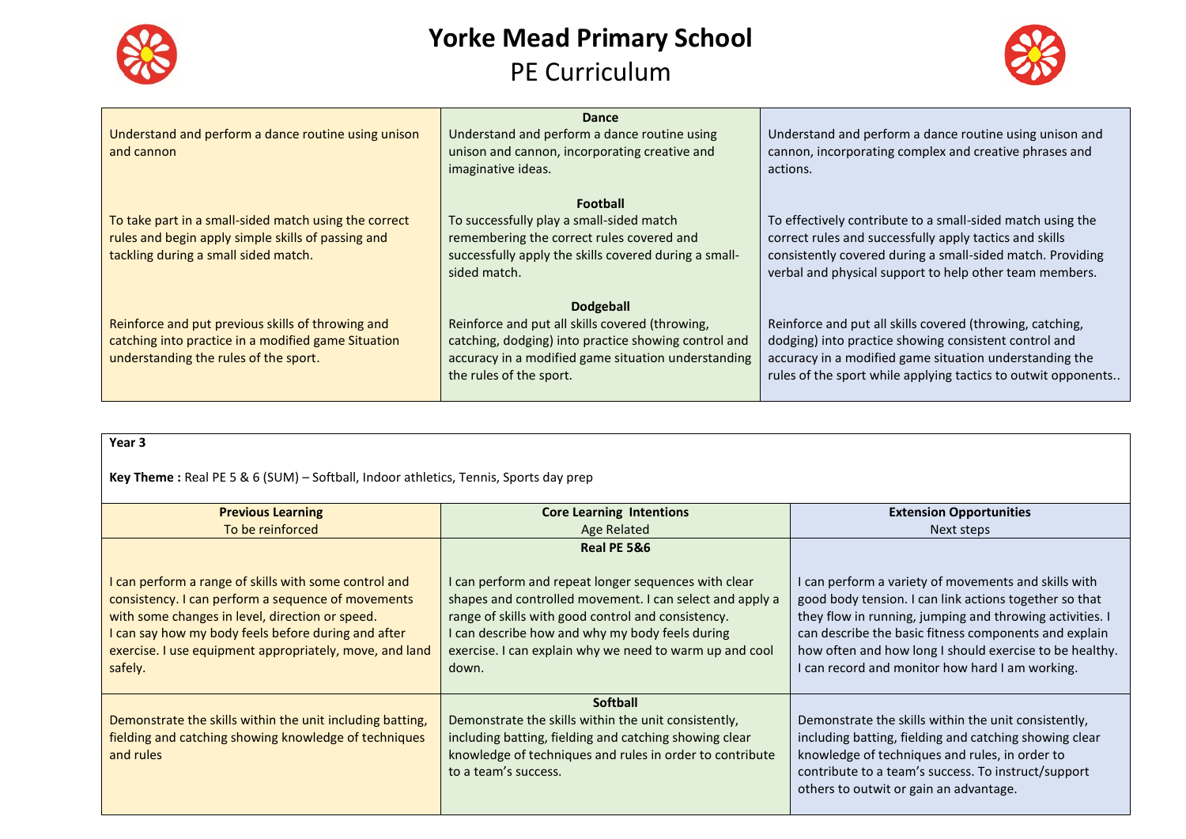



|                                                       | Dance                                                 |                                                               |
|-------------------------------------------------------|-------------------------------------------------------|---------------------------------------------------------------|
| Understand and perform a dance routine using unison   | Understand and perform a dance routine using          | Understand and perform a dance routine using unison and       |
| and cannon                                            | unison and cannon, incorporating creative and         | cannon, incorporating complex and creative phrases and        |
|                                                       | imaginative ideas.                                    | actions.                                                      |
|                                                       |                                                       |                                                               |
|                                                       | <b>Football</b>                                       |                                                               |
| To take part in a small-sided match using the correct | To successfully play a small-sided match              | To effectively contribute to a small-sided match using the    |
| rules and begin apply simple skills of passing and    | remembering the correct rules covered and             | correct rules and successfully apply tactics and skills       |
| tackling during a small sided match.                  | successfully apply the skills covered during a small- | consistently covered during a small-sided match. Providing    |
|                                                       | sided match.                                          | verbal and physical support to help other team members.       |
|                                                       | <b>Dodgeball</b>                                      |                                                               |
|                                                       |                                                       |                                                               |
| Reinforce and put previous skills of throwing and     | Reinforce and put all skills covered (throwing,       | Reinforce and put all skills covered (throwing, catching,     |
| catching into practice in a modified game Situation   | catching, dodging) into practice showing control and  | dodging) into practice showing consistent control and         |
| understanding the rules of the sport.                 | accuracy in a modified game situation understanding   | accuracy in a modified game situation understanding the       |
|                                                       | the rules of the sport.                               | rules of the sport while applying tactics to outwit opponents |
|                                                       |                                                       |                                                               |

**Year 3**

**Key Theme :** Real PE 5 & 6 (SUM) – Softball, Indoor athletics, Tennis, Sports day prep

| <b>Previous Learning</b>                                                                                                                                                                                                                                                                  | <b>Core Learning Intentions</b>                                                                                                                                                                                                                                                                              | <b>Extension Opportunities</b>                                                                                                                                                                                                                                                                                                                    |
|-------------------------------------------------------------------------------------------------------------------------------------------------------------------------------------------------------------------------------------------------------------------------------------------|--------------------------------------------------------------------------------------------------------------------------------------------------------------------------------------------------------------------------------------------------------------------------------------------------------------|---------------------------------------------------------------------------------------------------------------------------------------------------------------------------------------------------------------------------------------------------------------------------------------------------------------------------------------------------|
| To be reinforced                                                                                                                                                                                                                                                                          | Age Related                                                                                                                                                                                                                                                                                                  | Next steps                                                                                                                                                                                                                                                                                                                                        |
| can perform a range of skills with some control and<br>consistency. I can perform a sequence of movements<br>with some changes in level, direction or speed.<br>I can say how my body feels before during and after<br>exercise. I use equipment appropriately, move, and land<br>safely. | Real PE 5&6<br>I can perform and repeat longer sequences with clear<br>shapes and controlled movement. I can select and apply a<br>range of skills with good control and consistency.<br>I can describe how and why my body feels during<br>exercise. I can explain why we need to warm up and cool<br>down. | I can perform a variety of movements and skills with<br>good body tension. I can link actions together so that<br>they flow in running, jumping and throwing activities. I<br>can describe the basic fitness components and explain<br>how often and how long I should exercise to be healthy.<br>I can record and monitor how hard I am working. |
| Demonstrate the skills within the unit including batting,<br>fielding and catching showing knowledge of techniques<br>and rules                                                                                                                                                           | <b>Softball</b><br>Demonstrate the skills within the unit consistently,<br>including batting, fielding and catching showing clear<br>knowledge of techniques and rules in order to contribute<br>to a team's success.                                                                                        | Demonstrate the skills within the unit consistently,<br>including batting, fielding and catching showing clear<br>knowledge of techniques and rules, in order to<br>contribute to a team's success. To instruct/support<br>others to outwit or gain an advantage.                                                                                 |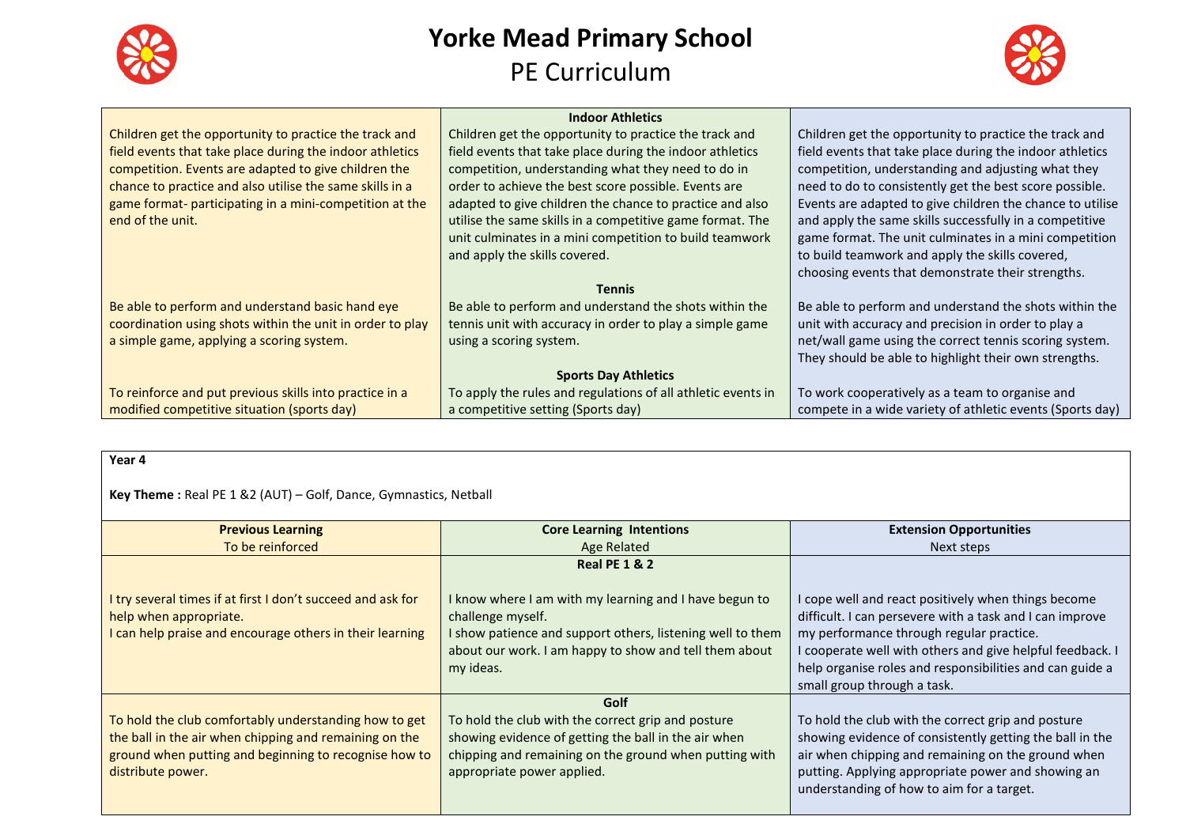



|                                                           | <b>Indoor Athletics</b>                                      |                                                           |
|-----------------------------------------------------------|--------------------------------------------------------------|-----------------------------------------------------------|
| Children get the opportunity to practice the track and    | Children get the opportunity to practice the track and       | Children get the opportunity to practice the track and    |
| field events that take place during the indoor athletics  | field events that take place during the indoor athletics     | field events that take place during the indoor athletics  |
| competition. Events are adapted to give children the      | competition, understanding what they need to do in           | competition, understanding and adjusting what they        |
| chance to practice and also utilise the same skills in a  | order to achieve the best score possible. Events are         | need to do to consistently get the best score possible.   |
| game format- participating in a mini-competition at the   | adapted to give children the chance to practice and also     | Events are adapted to give children the chance to utilise |
| end of the unit.                                          | utilise the same skills in a competitive game format. The    | and apply the same skills successfully in a competitive   |
|                                                           | unit culminates in a mini competition to build teamwork      | game format. The unit culminates in a mini competition    |
|                                                           | and apply the skills covered.                                | to build teamwork and apply the skills covered,           |
|                                                           |                                                              | choosing events that demonstrate their strengths.         |
|                                                           | <b>Tennis</b>                                                |                                                           |
| Be able to perform and understand basic hand eye          | Be able to perform and understand the shots within the       | Be able to perform and understand the shots within the    |
| coordination using shots within the unit in order to play | tennis unit with accuracy in order to play a simple game     | unit with accuracy and precision in order to play a       |
| a simple game, applying a scoring system.                 | using a scoring system.                                      | net/wall game using the correct tennis scoring system.    |
|                                                           |                                                              | They should be able to highlight their own strengths.     |
|                                                           | <b>Sports Day Athletics</b>                                  |                                                           |
| To reinforce and put previous skills into practice in a   | To apply the rules and regulations of all athletic events in | To work cooperatively as a team to organise and           |
| modified competitive situation (sports day)               | a competitive setting (Sports day)                           | compete in a wide variety of athletic events (Sports day) |

| ×<br>۰,<br>× |  |
|--------------|--|
|--------------|--|

**Key Theme :** Real PE 1 &2 (AUT) – Golf, Dance, Gymnastics, Netball

| <b>Previous Learning</b>                                                                                                                                                                      | <b>Core Learning Intentions</b>                                                                                                                                                                                  | <b>Extension Opportunities</b>                                                                                                                                                                                                                                                                                      |
|-----------------------------------------------------------------------------------------------------------------------------------------------------------------------------------------------|------------------------------------------------------------------------------------------------------------------------------------------------------------------------------------------------------------------|---------------------------------------------------------------------------------------------------------------------------------------------------------------------------------------------------------------------------------------------------------------------------------------------------------------------|
| To be reinforced                                                                                                                                                                              | Age Related                                                                                                                                                                                                      | Next steps                                                                                                                                                                                                                                                                                                          |
|                                                                                                                                                                                               | <b>Real PE 1 &amp; 2</b>                                                                                                                                                                                         |                                                                                                                                                                                                                                                                                                                     |
| I try several times if at first I don't succeed and ask for<br>help when appropriate.<br>I can help praise and encourage others in their learning                                             | I know where I am with my learning and I have begun to<br>challenge myself.<br>I show patience and support others, listening well to them<br>about our work. I am happy to show and tell them about<br>my ideas. | I cope well and react positively when things become<br>difficult. I can persevere with a task and I can improve<br>my performance through regular practice.<br>I cooperate well with others and give helpful feedback. I<br>help organise roles and responsibilities and can guide a<br>small group through a task. |
| To hold the club comfortably understanding how to get<br>the ball in the air when chipping and remaining on the<br>ground when putting and beginning to recognise how to<br>distribute power. | Golf<br>To hold the club with the correct grip and posture<br>showing evidence of getting the ball in the air when<br>chipping and remaining on the ground when putting with<br>appropriate power applied.       | To hold the club with the correct grip and posture<br>showing evidence of consistently getting the ball in the<br>air when chipping and remaining on the ground when<br>putting. Applying appropriate power and showing an<br>understanding of how to aim for a target.                                             |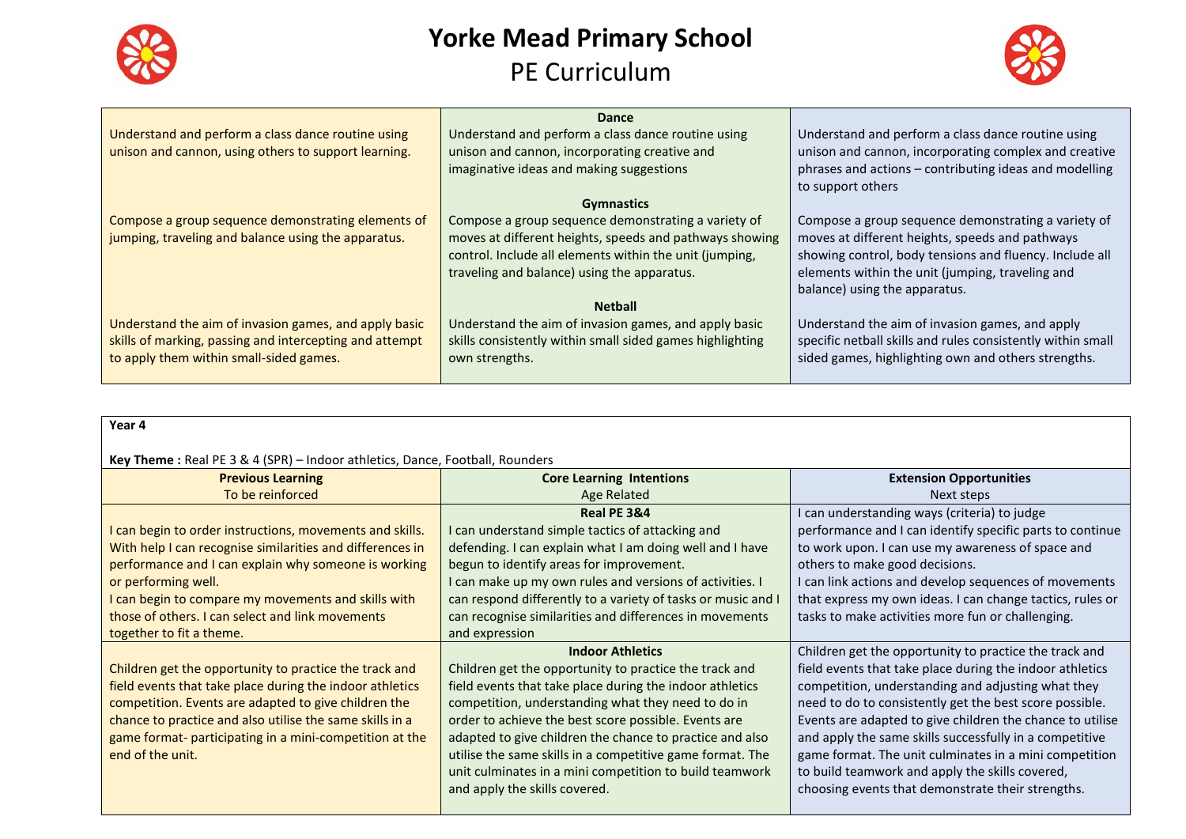



|                                                         | <b>Dance</b>                                              |                                                             |
|---------------------------------------------------------|-----------------------------------------------------------|-------------------------------------------------------------|
| Understand and perform a class dance routine using      | Understand and perform a class dance routine using        | Understand and perform a class dance routine using          |
| unison and cannon, using others to support learning.    | unison and cannon, incorporating creative and             | unison and cannon, incorporating complex and creative       |
|                                                         | imaginative ideas and making suggestions                  | phrases and actions - contributing ideas and modelling      |
|                                                         |                                                           | to support others                                           |
|                                                         | <b>Gymnastics</b>                                         |                                                             |
| Compose a group sequence demonstrating elements of      | Compose a group sequence demonstrating a variety of       | Compose a group sequence demonstrating a variety of         |
| jumping, traveling and balance using the apparatus.     | moves at different heights, speeds and pathways showing   | moves at different heights, speeds and pathways             |
|                                                         | control. Include all elements within the unit (jumping,   | showing control, body tensions and fluency. Include all     |
|                                                         | traveling and balance) using the apparatus.               | elements within the unit (jumping, traveling and            |
|                                                         |                                                           | balance) using the apparatus.                               |
|                                                         | <b>Netball</b>                                            |                                                             |
| Understand the aim of invasion games, and apply basic   | Understand the aim of invasion games, and apply basic     | Understand the aim of invasion games, and apply             |
| skills of marking, passing and intercepting and attempt | skills consistently within small sided games highlighting | specific netball skills and rules consistently within small |
| to apply them within small-sided games.                 | own strengths.                                            | sided games, highlighting own and others strengths.         |
|                                                         |                                                           |                                                             |

| Year 4                                                                       |                                                              |                                                           |
|------------------------------------------------------------------------------|--------------------------------------------------------------|-----------------------------------------------------------|
|                                                                              |                                                              |                                                           |
| Key Theme: Real PE 3 & 4 (SPR) - Indoor athletics, Dance, Football, Rounders |                                                              |                                                           |
| <b>Previous Learning</b>                                                     | <b>Core Learning Intentions</b>                              | <b>Extension Opportunities</b>                            |
| To be reinforced                                                             | Age Related                                                  | Next steps                                                |
|                                                                              | Real PE 3&4                                                  | I can understanding ways (criteria) to judge              |
| I can begin to order instructions, movements and skills.                     | I can understand simple tactics of attacking and             | performance and I can identify specific parts to continue |
| With help I can recognise similarities and differences in                    | defending. I can explain what I am doing well and I have     | to work upon. I can use my awareness of space and         |
| performance and I can explain why someone is working                         | begun to identify areas for improvement.                     | others to make good decisions.                            |
| or performing well.                                                          | I can make up my own rules and versions of activities. I     | I can link actions and develop sequences of movements     |
| I can begin to compare my movements and skills with                          | can respond differently to a variety of tasks or music and I | that express my own ideas. I can change tactics, rules or |
| those of others. I can select and link movements                             | can recognise similarities and differences in movements      | tasks to make activities more fun or challenging.         |
| together to fit a theme.                                                     | and expression                                               |                                                           |
|                                                                              | <b>Indoor Athletics</b>                                      | Children get the opportunity to practice the track and    |
| Children get the opportunity to practice the track and                       | Children get the opportunity to practice the track and       | field events that take place during the indoor athletics  |
| field events that take place during the indoor athletics                     | field events that take place during the indoor athletics     | competition, understanding and adjusting what they        |
| competition. Events are adapted to give children the                         | competition, understanding what they need to do in           | need to do to consistently get the best score possible.   |
| chance to practice and also utilise the same skills in a                     | order to achieve the best score possible. Events are         | Events are adapted to give children the chance to utilise |
| game format- participating in a mini-competition at the                      | adapted to give children the chance to practice and also     | and apply the same skills successfully in a competitive   |
| end of the unit.                                                             | utilise the same skills in a competitive game format. The    | game format. The unit culminates in a mini competition    |
|                                                                              | unit culminates in a mini competition to build teamwork      | to build teamwork and apply the skills covered,           |
|                                                                              | and apply the skills covered.                                | choosing events that demonstrate their strengths.         |
|                                                                              |                                                              |                                                           |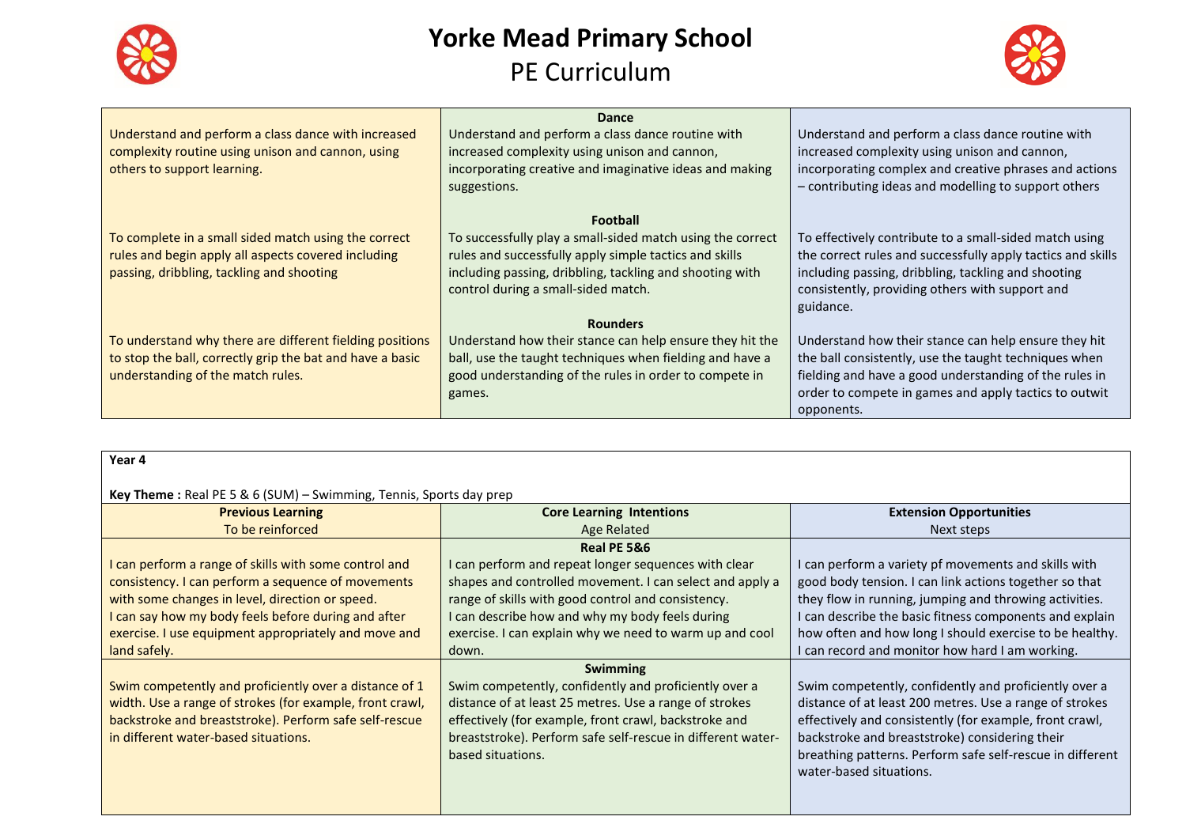



|                                                           | <b>Dance</b>                                               |                                                             |
|-----------------------------------------------------------|------------------------------------------------------------|-------------------------------------------------------------|
| Understand and perform a class dance with increased       | Understand and perform a class dance routine with          | Understand and perform a class dance routine with           |
| complexity routine using unison and cannon, using         | increased complexity using unison and cannon,              | increased complexity using unison and cannon,               |
| others to support learning.                               | incorporating creative and imaginative ideas and making    | incorporating complex and creative phrases and actions      |
|                                                           | suggestions.                                               | - contributing ideas and modelling to support others        |
|                                                           |                                                            |                                                             |
|                                                           | <b>Football</b>                                            |                                                             |
| To complete in a small sided match using the correct      | To successfully play a small-sided match using the correct | To effectively contribute to a small-sided match using      |
| rules and begin apply all aspects covered including       | rules and successfully apply simple tactics and skills     | the correct rules and successfully apply tactics and skills |
| passing, dribbling, tackling and shooting                 | including passing, dribbling, tackling and shooting with   | including passing, dribbling, tackling and shooting         |
|                                                           | control during a small-sided match.                        | consistently, providing others with support and             |
|                                                           |                                                            | guidance.                                                   |
|                                                           | <b>Rounders</b>                                            |                                                             |
| To understand why there are different fielding positions  | Understand how their stance can help ensure they hit the   | Understand how their stance can help ensure they hit        |
| to stop the ball, correctly grip the bat and have a basic | ball, use the taught techniques when fielding and have a   | the ball consistently, use the taught techniques when       |
| understanding of the match rules.                         | good understanding of the rules in order to compete in     | fielding and have a good understanding of the rules in      |
|                                                           | games.                                                     | order to compete in games and apply tactics to outwit       |
|                                                           |                                                            | opponents.                                                  |

| . .<br>×<br>v<br>× |  |
|--------------------|--|
|--------------------|--|

#### **Key Theme :** Real PE 5 & 6 (SUM) – Swimming, Tennis, Sports day prep

| $\mathbf{r}$ , $\mathbf{r}$ and $\mathbf{r}$ , $\mathbf{r}$ and $\mathbf{r}$ and $\mathbf{r}$ are proportional proportional proportional proportional proportional proportional proportional proportional proportional proportional proportional propor |                                                             |                                                           |
|---------------------------------------------------------------------------------------------------------------------------------------------------------------------------------------------------------------------------------------------------------|-------------------------------------------------------------|-----------------------------------------------------------|
| <b>Previous Learning</b>                                                                                                                                                                                                                                | <b>Core Learning Intentions</b>                             | <b>Extension Opportunities</b>                            |
| To be reinforced                                                                                                                                                                                                                                        | Age Related                                                 | Next steps                                                |
|                                                                                                                                                                                                                                                         | Real PE 5&6                                                 |                                                           |
| I can perform a range of skills with some control and                                                                                                                                                                                                   | I can perform and repeat longer sequences with clear        | I can perform a variety pf movements and skills with      |
| consistency. I can perform a sequence of movements                                                                                                                                                                                                      | shapes and controlled movement. I can select and apply a    | good body tension. I can link actions together so that    |
| with some changes in level, direction or speed.                                                                                                                                                                                                         | range of skills with good control and consistency.          | they flow in running, jumping and throwing activities.    |
| I can say how my body feels before during and after                                                                                                                                                                                                     | I can describe how and why my body feels during             | I can describe the basic fitness components and explain   |
| exercise. I use equipment appropriately and move and                                                                                                                                                                                                    | exercise. I can explain why we need to warm up and cool     | how often and how long I should exercise to be healthy.   |
| land safely.                                                                                                                                                                                                                                            | down.                                                       | I can record and monitor how hard I am working.           |
|                                                                                                                                                                                                                                                         | <b>Swimming</b>                                             |                                                           |
| Swim competently and proficiently over a distance of 1                                                                                                                                                                                                  | Swim competently, confidently and proficiently over a       | Swim competently, confidently and proficiently over a     |
| width. Use a range of strokes (for example, front crawl,                                                                                                                                                                                                | distance of at least 25 metres. Use a range of strokes      | distance of at least 200 metres. Use a range of strokes   |
| backstroke and breaststroke). Perform safe self-rescue                                                                                                                                                                                                  | effectively (for example, front crawl, backstroke and       | effectively and consistently (for example, front crawl,   |
| in different water-based situations.                                                                                                                                                                                                                    | breaststroke). Perform safe self-rescue in different water- | backstroke and breaststroke) considering their            |
|                                                                                                                                                                                                                                                         | based situations.                                           | breathing patterns. Perform safe self-rescue in different |
|                                                                                                                                                                                                                                                         |                                                             | water-based situations.                                   |
|                                                                                                                                                                                                                                                         |                                                             |                                                           |
|                                                                                                                                                                                                                                                         |                                                             |                                                           |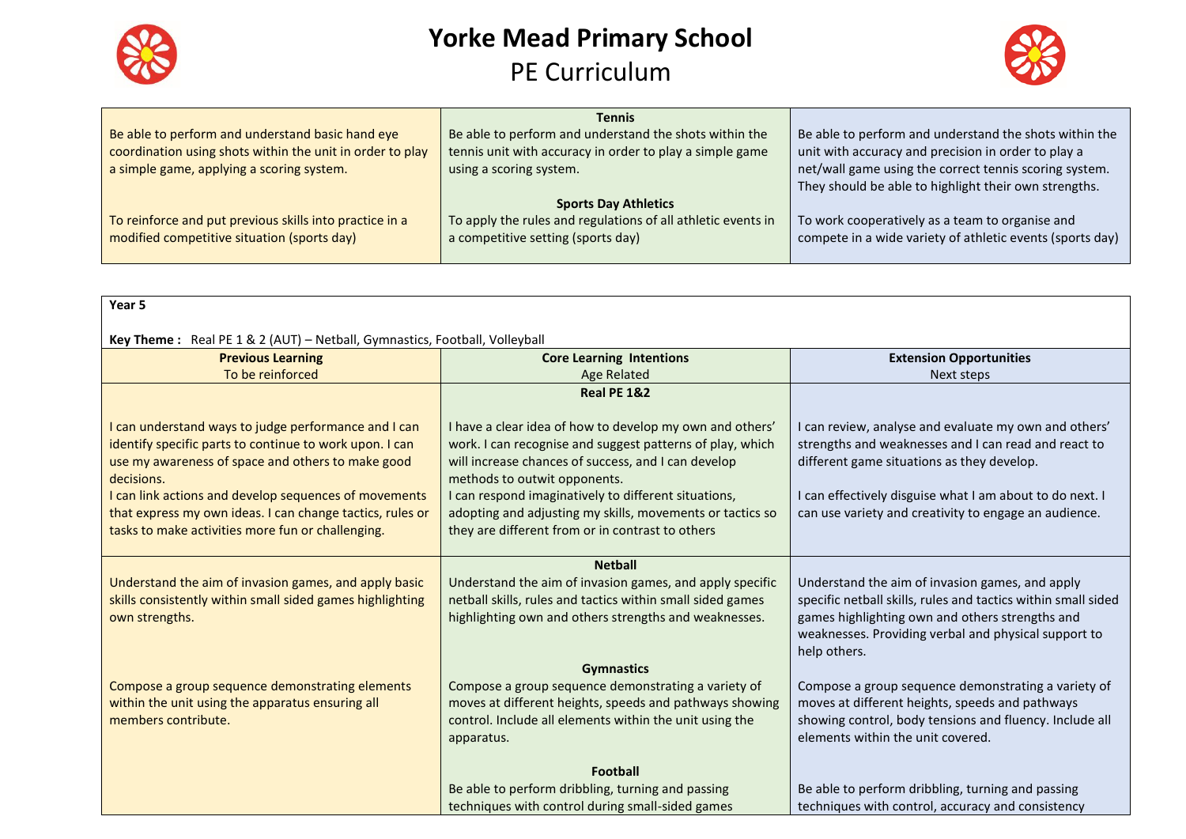



|                                                           | Tennis                                                       |                                                           |
|-----------------------------------------------------------|--------------------------------------------------------------|-----------------------------------------------------------|
| Be able to perform and understand basic hand eye          | Be able to perform and understand the shots within the       | Be able to perform and understand the shots within the    |
| coordination using shots within the unit in order to play | tennis unit with accuracy in order to play a simple game     | unit with accuracy and precision in order to play a       |
| a simple game, applying a scoring system.                 | using a scoring system.                                      | net/wall game using the correct tennis scoring system.    |
|                                                           |                                                              | They should be able to highlight their own strengths.     |
|                                                           | <b>Sports Day Athletics</b>                                  |                                                           |
| To reinforce and put previous skills into practice in a   | To apply the rules and regulations of all athletic events in | To work cooperatively as a team to organise and           |
| modified competitive situation (sports day)               | a competitive setting (sports day)                           | compete in a wide variety of athletic events (sports day) |
|                                                           |                                                              |                                                           |

| Year 5                                                                                                                                                                                                                                                                                                                                                        |                                                                                                                                                                                                                                                                                                                                                                                       |                                                                                                                                                                                                                                                                                  |
|---------------------------------------------------------------------------------------------------------------------------------------------------------------------------------------------------------------------------------------------------------------------------------------------------------------------------------------------------------------|---------------------------------------------------------------------------------------------------------------------------------------------------------------------------------------------------------------------------------------------------------------------------------------------------------------------------------------------------------------------------------------|----------------------------------------------------------------------------------------------------------------------------------------------------------------------------------------------------------------------------------------------------------------------------------|
|                                                                                                                                                                                                                                                                                                                                                               |                                                                                                                                                                                                                                                                                                                                                                                       |                                                                                                                                                                                                                                                                                  |
| Key Theme: Real PE 1 & 2 (AUT) - Netball, Gymnastics, Football, Volleyball                                                                                                                                                                                                                                                                                    |                                                                                                                                                                                                                                                                                                                                                                                       |                                                                                                                                                                                                                                                                                  |
| <b>Previous Learning</b>                                                                                                                                                                                                                                                                                                                                      | <b>Core Learning Intentions</b>                                                                                                                                                                                                                                                                                                                                                       | <b>Extension Opportunities</b>                                                                                                                                                                                                                                                   |
| To be reinforced                                                                                                                                                                                                                                                                                                                                              | <b>Age Related</b>                                                                                                                                                                                                                                                                                                                                                                    | Next steps                                                                                                                                                                                                                                                                       |
|                                                                                                                                                                                                                                                                                                                                                               | <b>Real PE 1&amp;2</b>                                                                                                                                                                                                                                                                                                                                                                |                                                                                                                                                                                                                                                                                  |
| I can understand ways to judge performance and I can<br>identify specific parts to continue to work upon. I can<br>use my awareness of space and others to make good<br>decisions.<br>I can link actions and develop sequences of movements<br>that express my own ideas. I can change tactics, rules or<br>tasks to make activities more fun or challenging. | I have a clear idea of how to develop my own and others'<br>work. I can recognise and suggest patterns of play, which<br>will increase chances of success, and I can develop<br>methods to outwit opponents.<br>I can respond imaginatively to different situations,<br>adopting and adjusting my skills, movements or tactics so<br>they are different from or in contrast to others | I can review, analyse and evaluate my own and others'<br>strengths and weaknesses and I can read and react to<br>different game situations as they develop.<br>I can effectively disguise what I am about to do next. I<br>can use variety and creativity to engage an audience. |
|                                                                                                                                                                                                                                                                                                                                                               | <b>Netball</b>                                                                                                                                                                                                                                                                                                                                                                        |                                                                                                                                                                                                                                                                                  |
| Understand the aim of invasion games, and apply basic<br>skills consistently within small sided games highlighting<br>own strengths.                                                                                                                                                                                                                          | Understand the aim of invasion games, and apply specific<br>netball skills, rules and tactics within small sided games<br>highlighting own and others strengths and weaknesses.                                                                                                                                                                                                       | Understand the aim of invasion games, and apply<br>specific netball skills, rules and tactics within small sided<br>games highlighting own and others strengths and<br>weaknesses. Providing verbal and physical support to                                                      |
|                                                                                                                                                                                                                                                                                                                                                               |                                                                                                                                                                                                                                                                                                                                                                                       | help others.                                                                                                                                                                                                                                                                     |
| Compose a group sequence demonstrating elements<br>within the unit using the apparatus ensuring all<br>members contribute.                                                                                                                                                                                                                                    | <b>Gymnastics</b><br>Compose a group sequence demonstrating a variety of<br>moves at different heights, speeds and pathways showing<br>control. Include all elements within the unit using the<br>apparatus.                                                                                                                                                                          | Compose a group sequence demonstrating a variety of<br>moves at different heights, speeds and pathways<br>showing control, body tensions and fluency. Include all<br>elements within the unit covered.                                                                           |
|                                                                                                                                                                                                                                                                                                                                                               | <b>Football</b>                                                                                                                                                                                                                                                                                                                                                                       |                                                                                                                                                                                                                                                                                  |
|                                                                                                                                                                                                                                                                                                                                                               | Be able to perform dribbling, turning and passing                                                                                                                                                                                                                                                                                                                                     | Be able to perform dribbling, turning and passing                                                                                                                                                                                                                                |
|                                                                                                                                                                                                                                                                                                                                                               | techniques with control during small-sided games                                                                                                                                                                                                                                                                                                                                      | techniques with control, accuracy and consistency                                                                                                                                                                                                                                |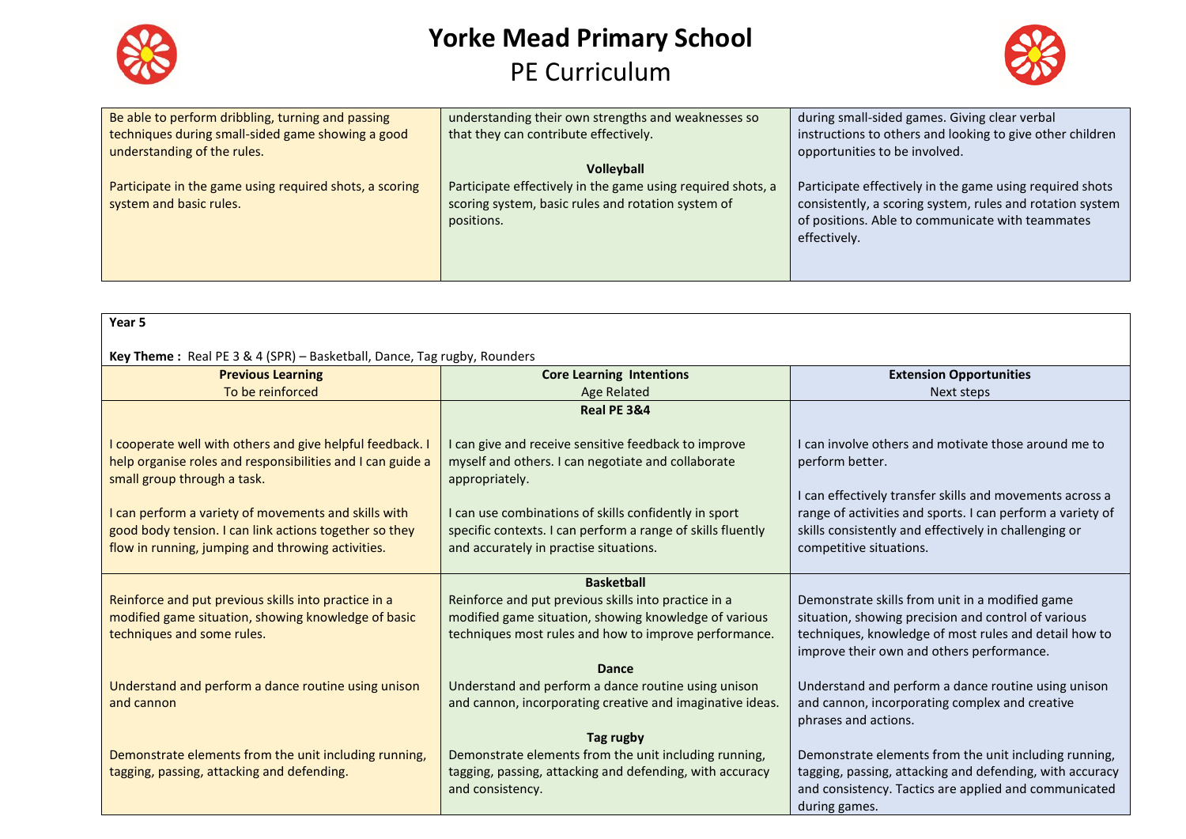



| Be able to perform dribbling, turning and passing<br>techniques during small-sided game showing a good<br>understanding of the rules. | understanding their own strengths and weaknesses so<br>that they can contribute effectively.                                    | during small-sided games. Giving clear verbal<br>instructions to others and looking to give other children<br>opportunities to be involved.                                               |
|---------------------------------------------------------------------------------------------------------------------------------------|---------------------------------------------------------------------------------------------------------------------------------|-------------------------------------------------------------------------------------------------------------------------------------------------------------------------------------------|
|                                                                                                                                       | Volleyball                                                                                                                      |                                                                                                                                                                                           |
| Participate in the game using required shots, a scoring<br>system and basic rules.                                                    | Participate effectively in the game using required shots, a<br>scoring system, basic rules and rotation system of<br>positions. | Participate effectively in the game using required shots<br>consistently, a scoring system, rules and rotation system<br>of positions. Able to communicate with teammates<br>effectively. |

| Year 5                                                                                                                                                              |                                                                                                                                                                |                                                                                                                                                |
|---------------------------------------------------------------------------------------------------------------------------------------------------------------------|----------------------------------------------------------------------------------------------------------------------------------------------------------------|------------------------------------------------------------------------------------------------------------------------------------------------|
| Key Theme: Real PE 3 & 4 (SPR) - Basketball, Dance, Tag rugby, Rounders                                                                                             |                                                                                                                                                                |                                                                                                                                                |
| <b>Previous Learning</b>                                                                                                                                            | <b>Core Learning Intentions</b>                                                                                                                                | <b>Extension Opportunities</b>                                                                                                                 |
| To be reinforced                                                                                                                                                    | Age Related                                                                                                                                                    | Next steps                                                                                                                                     |
|                                                                                                                                                                     | Real PE 3&4                                                                                                                                                    |                                                                                                                                                |
| I cooperate well with others and give helpful feedback. I<br>help organise roles and responsibilities and I can guide a<br>small group through a task.              | I can give and receive sensitive feedback to improve<br>myself and others. I can negotiate and collaborate<br>appropriately.                                   | I can involve others and motivate those around me to<br>perform better.<br>I can effectively transfer skills and movements across a            |
| I can perform a variety of movements and skills with<br>good body tension. I can link actions together so they<br>flow in running, jumping and throwing activities. | I can use combinations of skills confidently in sport<br>specific contexts. I can perform a range of skills fluently<br>and accurately in practise situations. | range of activities and sports. I can perform a variety of<br>skills consistently and effectively in challenging or<br>competitive situations. |
|                                                                                                                                                                     | <b>Basketball</b>                                                                                                                                              |                                                                                                                                                |
| Reinforce and put previous skills into practice in a                                                                                                                | Reinforce and put previous skills into practice in a                                                                                                           | Demonstrate skills from unit in a modified game                                                                                                |
| modified game situation, showing knowledge of basic<br>techniques and some rules.                                                                                   | modified game situation, showing knowledge of various<br>techniques most rules and how to improve performance.                                                 | situation, showing precision and control of various<br>techniques, knowledge of most rules and detail how to                                   |
|                                                                                                                                                                     |                                                                                                                                                                | improve their own and others performance.                                                                                                      |
|                                                                                                                                                                     | Dance                                                                                                                                                          |                                                                                                                                                |
| Understand and perform a dance routine using unison                                                                                                                 | Understand and perform a dance routine using unison                                                                                                            | Understand and perform a dance routine using unison                                                                                            |
| and cannon                                                                                                                                                          | and cannon, incorporating creative and imaginative ideas.                                                                                                      | and cannon, incorporating complex and creative<br>phrases and actions.                                                                         |
|                                                                                                                                                                     | Tag rugby                                                                                                                                                      |                                                                                                                                                |
| Demonstrate elements from the unit including running,                                                                                                               | Demonstrate elements from the unit including running,                                                                                                          | Demonstrate elements from the unit including running,                                                                                          |
| tagging, passing, attacking and defending.                                                                                                                          | tagging, passing, attacking and defending, with accuracy                                                                                                       | tagging, passing, attacking and defending, with accuracy                                                                                       |
|                                                                                                                                                                     | and consistency.                                                                                                                                               | and consistency. Tactics are applied and communicated<br>during games.                                                                         |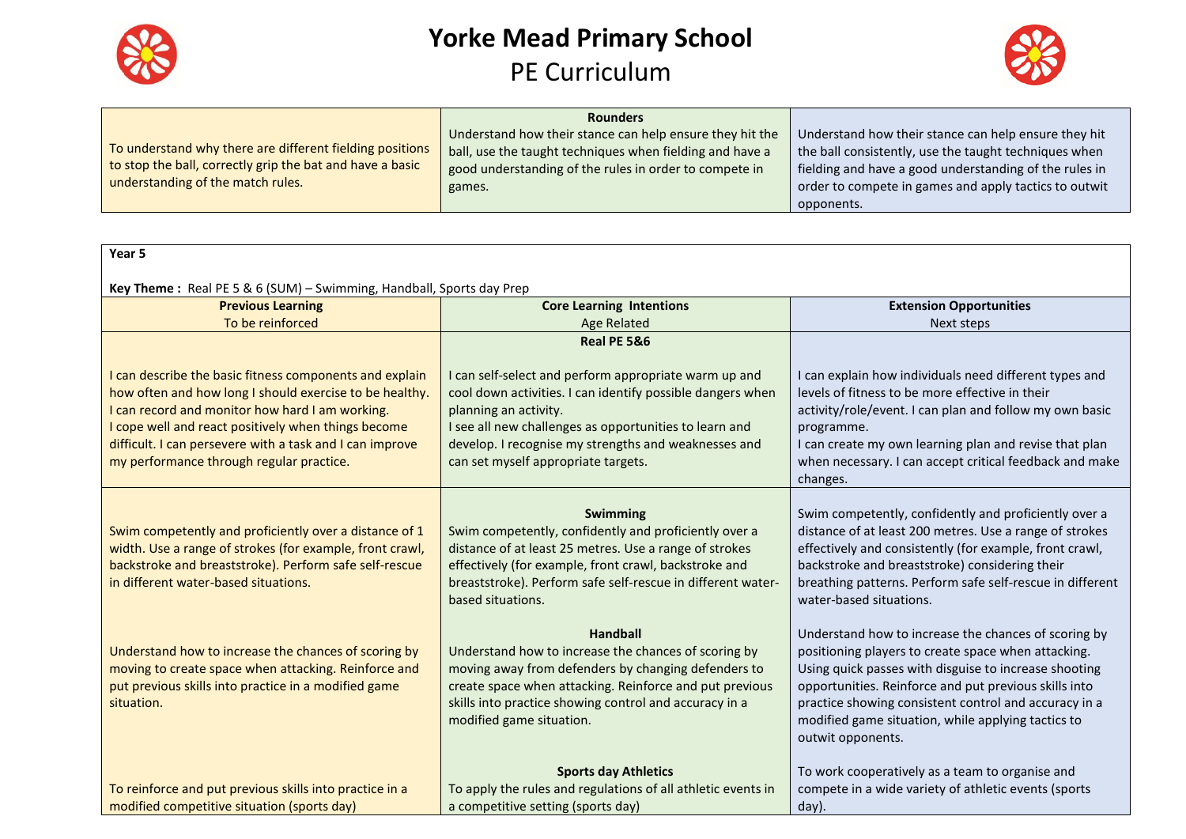



|                                                           | <b>Rounders</b>                                          |                                                        |
|-----------------------------------------------------------|----------------------------------------------------------|--------------------------------------------------------|
|                                                           | Understand how their stance can help ensure they hit the | Understand how their stance can help ensure they hit   |
| To understand why there are different fielding positions  | ball, use the taught techniques when fielding and have a | the ball consistently, use the taught techniques when  |
| to stop the ball, correctly grip the bat and have a basic | good understanding of the rules in order to compete in   | fielding and have a good understanding of the rules in |
| understanding of the match rules.                         | games.                                                   | order to compete in games and apply tactics to outwit  |
|                                                           |                                                          | opponents.                                             |

| Year 5                                                                                                                                                                                                                                                                                                                               |                                                                                                                                                                                                                                                                                                       |                                                                                                                                                                                                                                                                                                                                                                   |
|--------------------------------------------------------------------------------------------------------------------------------------------------------------------------------------------------------------------------------------------------------------------------------------------------------------------------------------|-------------------------------------------------------------------------------------------------------------------------------------------------------------------------------------------------------------------------------------------------------------------------------------------------------|-------------------------------------------------------------------------------------------------------------------------------------------------------------------------------------------------------------------------------------------------------------------------------------------------------------------------------------------------------------------|
| Key Theme: Real PE 5 & 6 (SUM) - Swimming, Handball, Sports day Prep                                                                                                                                                                                                                                                                 |                                                                                                                                                                                                                                                                                                       |                                                                                                                                                                                                                                                                                                                                                                   |
| <b>Previous Learning</b>                                                                                                                                                                                                                                                                                                             | <b>Core Learning Intentions</b>                                                                                                                                                                                                                                                                       | <b>Extension Opportunities</b>                                                                                                                                                                                                                                                                                                                                    |
| To be reinforced                                                                                                                                                                                                                                                                                                                     | <b>Age Related</b>                                                                                                                                                                                                                                                                                    | Next steps                                                                                                                                                                                                                                                                                                                                                        |
|                                                                                                                                                                                                                                                                                                                                      | Real PE 5&6                                                                                                                                                                                                                                                                                           |                                                                                                                                                                                                                                                                                                                                                                   |
| I can describe the basic fitness components and explain<br>how often and how long I should exercise to be healthy.<br>I can record and monitor how hard I am working.<br>I cope well and react positively when things become<br>difficult. I can persevere with a task and I can improve<br>my performance through regular practice. | I can self-select and perform appropriate warm up and<br>cool down activities. I can identify possible dangers when<br>planning an activity.<br>I see all new challenges as opportunities to learn and<br>develop. I recognise my strengths and weaknesses and<br>can set myself appropriate targets. | I can explain how individuals need different types and<br>levels of fitness to be more effective in their<br>activity/role/event. I can plan and follow my own basic<br>programme.<br>I can create my own learning plan and revise that plan<br>when necessary. I can accept critical feedback and make<br>changes.                                               |
| Swim competently and proficiently over a distance of 1<br>width. Use a range of strokes (for example, front crawl,<br>backstroke and breaststroke). Perform safe self-rescue<br>in different water-based situations.                                                                                                                 | Swimming<br>Swim competently, confidently and proficiently over a<br>distance of at least 25 metres. Use a range of strokes<br>effectively (for example, front crawl, backstroke and<br>breaststroke). Perform safe self-rescue in different water-<br>based situations.                              | Swim competently, confidently and proficiently over a<br>distance of at least 200 metres. Use a range of strokes<br>effectively and consistently (for example, front crawl,<br>backstroke and breaststroke) considering their<br>breathing patterns. Perform safe self-rescue in different<br>water-based situations.                                             |
| Understand how to increase the chances of scoring by<br>moving to create space when attacking. Reinforce and<br>put previous skills into practice in a modified game<br>situation.                                                                                                                                                   | <b>Handball</b><br>Understand how to increase the chances of scoring by<br>moving away from defenders by changing defenders to<br>create space when attacking. Reinforce and put previous<br>skills into practice showing control and accuracy in a<br>modified game situation.                       | Understand how to increase the chances of scoring by<br>positioning players to create space when attacking.<br>Using quick passes with disguise to increase shooting<br>opportunities. Reinforce and put previous skills into<br>practice showing consistent control and accuracy in a<br>modified game situation, while applying tactics to<br>outwit opponents. |
|                                                                                                                                                                                                                                                                                                                                      | <b>Sports day Athletics</b>                                                                                                                                                                                                                                                                           | To work cooperatively as a team to organise and                                                                                                                                                                                                                                                                                                                   |
| To reinforce and put previous skills into practice in a                                                                                                                                                                                                                                                                              | To apply the rules and regulations of all athletic events in                                                                                                                                                                                                                                          | compete in a wide variety of athletic events (sports                                                                                                                                                                                                                                                                                                              |
| modified competitive situation (sports day)                                                                                                                                                                                                                                                                                          | a competitive setting (sports day)                                                                                                                                                                                                                                                                    | day).                                                                                                                                                                                                                                                                                                                                                             |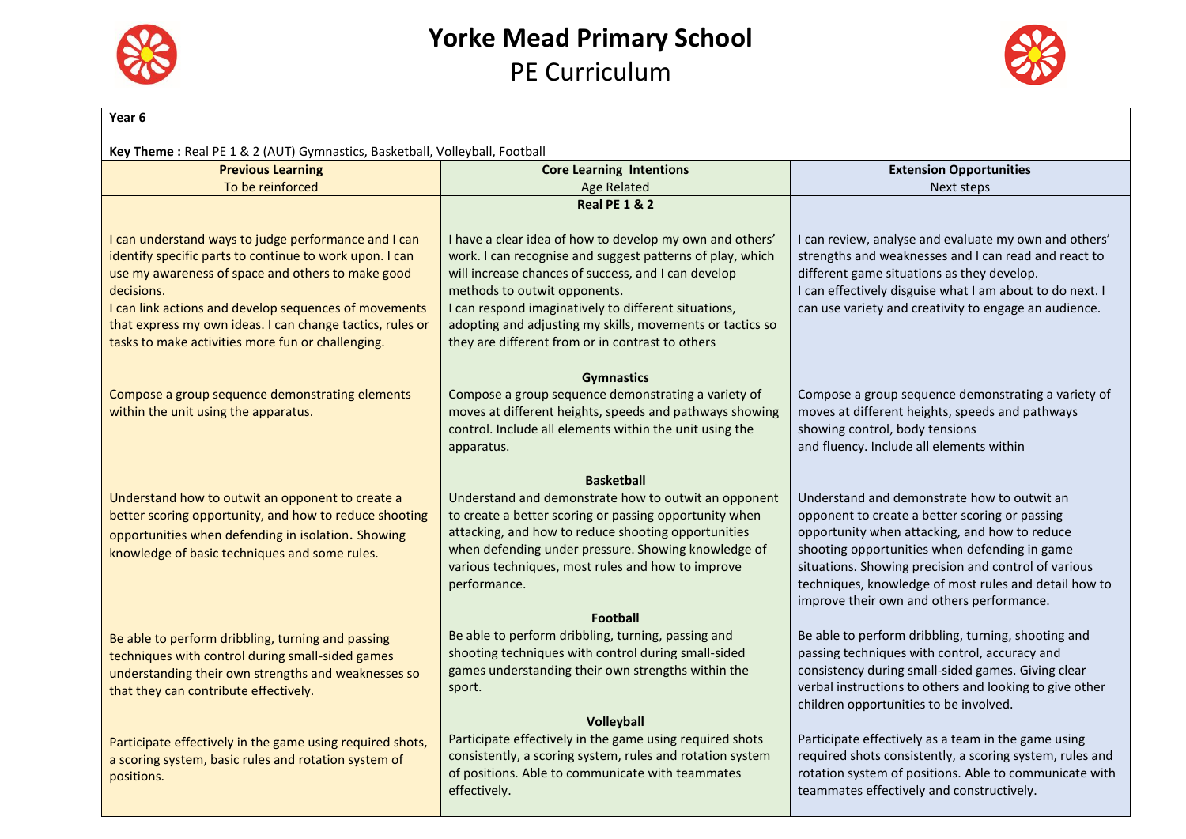



| Year <sub>6</sub>                                                                                                                                                                                                 |                                                                                                                                                                                                                                                                                                   |                                                                                                                                                                                                                                                                                                                                                               |
|-------------------------------------------------------------------------------------------------------------------------------------------------------------------------------------------------------------------|---------------------------------------------------------------------------------------------------------------------------------------------------------------------------------------------------------------------------------------------------------------------------------------------------|---------------------------------------------------------------------------------------------------------------------------------------------------------------------------------------------------------------------------------------------------------------------------------------------------------------------------------------------------------------|
| Key Theme: Real PE 1 & 2 (AUT) Gymnastics, Basketball, Volleyball, Football                                                                                                                                       |                                                                                                                                                                                                                                                                                                   |                                                                                                                                                                                                                                                                                                                                                               |
| <b>Previous Learning</b>                                                                                                                                                                                          | <b>Core Learning Intentions</b>                                                                                                                                                                                                                                                                   | <b>Extension Opportunities</b>                                                                                                                                                                                                                                                                                                                                |
| To be reinforced                                                                                                                                                                                                  | <b>Age Related</b>                                                                                                                                                                                                                                                                                | Next steps                                                                                                                                                                                                                                                                                                                                                    |
|                                                                                                                                                                                                                   | <b>Real PE 1 &amp; 2</b>                                                                                                                                                                                                                                                                          |                                                                                                                                                                                                                                                                                                                                                               |
| I can understand ways to judge performance and I can<br>identify specific parts to continue to work upon. I can<br>use my awareness of space and others to make good<br>decisions.                                | I have a clear idea of how to develop my own and others'<br>work. I can recognise and suggest patterns of play, which<br>will increase chances of success, and I can develop<br>methods to outwit opponents.                                                                                      | I can review, analyse and evaluate my own and others'<br>strengths and weaknesses and I can read and react to<br>different game situations as they develop.<br>I can effectively disguise what I am about to do next. I                                                                                                                                       |
| I can link actions and develop sequences of movements<br>that express my own ideas. I can change tactics, rules or<br>tasks to make activities more fun or challenging.                                           | I can respond imaginatively to different situations,<br>adopting and adjusting my skills, movements or tactics so<br>they are different from or in contrast to others                                                                                                                             | can use variety and creativity to engage an audience.                                                                                                                                                                                                                                                                                                         |
|                                                                                                                                                                                                                   | <b>Gymnastics</b>                                                                                                                                                                                                                                                                                 |                                                                                                                                                                                                                                                                                                                                                               |
| Compose a group sequence demonstrating elements<br>within the unit using the apparatus.                                                                                                                           | Compose a group sequence demonstrating a variety of<br>moves at different heights, speeds and pathways showing<br>control. Include all elements within the unit using the<br>apparatus.                                                                                                           | Compose a group sequence demonstrating a variety of<br>moves at different heights, speeds and pathways<br>showing control, body tensions<br>and fluency. Include all elements within                                                                                                                                                                          |
|                                                                                                                                                                                                                   | <b>Basketball</b>                                                                                                                                                                                                                                                                                 |                                                                                                                                                                                                                                                                                                                                                               |
| Understand how to outwit an opponent to create a<br>better scoring opportunity, and how to reduce shooting<br>opportunities when defending in isolation. Showing<br>knowledge of basic techniques and some rules. | Understand and demonstrate how to outwit an opponent<br>to create a better scoring or passing opportunity when<br>attacking, and how to reduce shooting opportunities<br>when defending under pressure. Showing knowledge of<br>various techniques, most rules and how to improve<br>performance. | Understand and demonstrate how to outwit an<br>opponent to create a better scoring or passing<br>opportunity when attacking, and how to reduce<br>shooting opportunities when defending in game<br>situations. Showing precision and control of various<br>techniques, knowledge of most rules and detail how to<br>improve their own and others performance. |
| Be able to perform dribbling, turning and passing<br>techniques with control during small-sided games<br>understanding their own strengths and weaknesses so<br>that they can contribute effectively.             | <b>Football</b><br>Be able to perform dribbling, turning, passing and<br>shooting techniques with control during small-sided<br>games understanding their own strengths within the<br>sport.                                                                                                      | Be able to perform dribbling, turning, shooting and<br>passing techniques with control, accuracy and<br>consistency during small-sided games. Giving clear<br>verbal instructions to others and looking to give other<br>children opportunities to be involved.                                                                                               |
| Participate effectively in the game using required shots,<br>a scoring system, basic rules and rotation system of<br>positions.                                                                                   | Volleyball<br>Participate effectively in the game using required shots<br>consistently, a scoring system, rules and rotation system<br>of positions. Able to communicate with teammates<br>effectively.                                                                                           | Participate effectively as a team in the game using<br>required shots consistently, a scoring system, rules and<br>rotation system of positions. Able to communicate with<br>teammates effectively and constructively.                                                                                                                                        |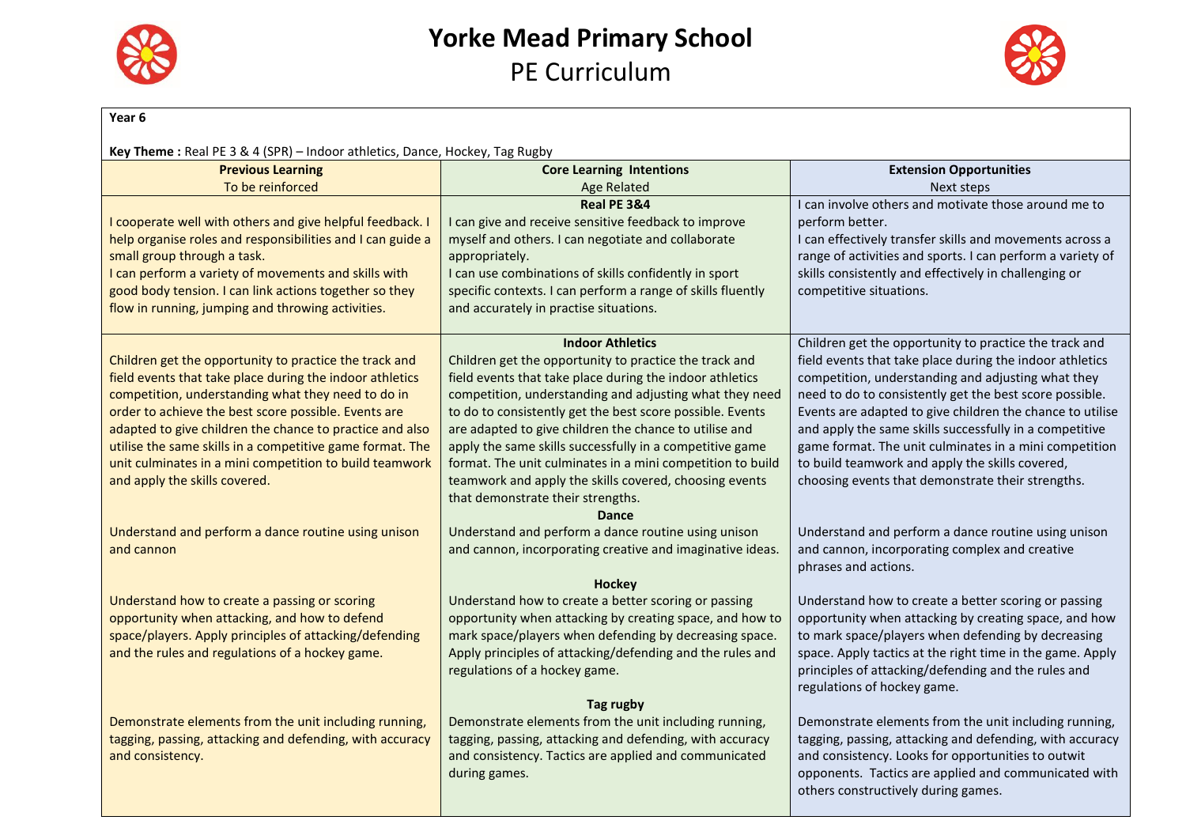



| Year 6                                                                                                                                                                                                                                                                                                                                                                                                                                                |                                                                                                                                                                                                                                                                                                                                                                                                                                                                                                                                                          |                                                                                                                                                                                                                                                                                                                                                                                                                                                                                                                               |
|-------------------------------------------------------------------------------------------------------------------------------------------------------------------------------------------------------------------------------------------------------------------------------------------------------------------------------------------------------------------------------------------------------------------------------------------------------|----------------------------------------------------------------------------------------------------------------------------------------------------------------------------------------------------------------------------------------------------------------------------------------------------------------------------------------------------------------------------------------------------------------------------------------------------------------------------------------------------------------------------------------------------------|-------------------------------------------------------------------------------------------------------------------------------------------------------------------------------------------------------------------------------------------------------------------------------------------------------------------------------------------------------------------------------------------------------------------------------------------------------------------------------------------------------------------------------|
| Key Theme: Real PE 3 & 4 (SPR) - Indoor athletics, Dance, Hockey, Tag Rugby                                                                                                                                                                                                                                                                                                                                                                           |                                                                                                                                                                                                                                                                                                                                                                                                                                                                                                                                                          |                                                                                                                                                                                                                                                                                                                                                                                                                                                                                                                               |
| <b>Previous Learning</b>                                                                                                                                                                                                                                                                                                                                                                                                                              | <b>Core Learning Intentions</b>                                                                                                                                                                                                                                                                                                                                                                                                                                                                                                                          | <b>Extension Opportunities</b>                                                                                                                                                                                                                                                                                                                                                                                                                                                                                                |
| To be reinforced                                                                                                                                                                                                                                                                                                                                                                                                                                      | <b>Age Related</b>                                                                                                                                                                                                                                                                                                                                                                                                                                                                                                                                       | Next steps                                                                                                                                                                                                                                                                                                                                                                                                                                                                                                                    |
| I cooperate well with others and give helpful feedback. I<br>help organise roles and responsibilities and I can guide a<br>small group through a task.<br>I can perform a variety of movements and skills with<br>good body tension. I can link actions together so they<br>flow in running, jumping and throwing activities.                                                                                                                         | Real PE 3&4<br>I can give and receive sensitive feedback to improve<br>myself and others. I can negotiate and collaborate<br>appropriately.<br>I can use combinations of skills confidently in sport<br>specific contexts. I can perform a range of skills fluently<br>and accurately in practise situations.                                                                                                                                                                                                                                            | I can involve others and motivate those around me to<br>perform better.<br>I can effectively transfer skills and movements across a<br>range of activities and sports. I can perform a variety of<br>skills consistently and effectively in challenging or<br>competitive situations.                                                                                                                                                                                                                                         |
| Children get the opportunity to practice the track and<br>field events that take place during the indoor athletics<br>competition, understanding what they need to do in<br>order to achieve the best score possible. Events are<br>adapted to give children the chance to practice and also<br>utilise the same skills in a competitive game format. The<br>unit culminates in a mini competition to build teamwork<br>and apply the skills covered. | <b>Indoor Athletics</b><br>Children get the opportunity to practice the track and<br>field events that take place during the indoor athletics<br>competition, understanding and adjusting what they need<br>to do to consistently get the best score possible. Events<br>are adapted to give children the chance to utilise and<br>apply the same skills successfully in a competitive game<br>format. The unit culminates in a mini competition to build<br>teamwork and apply the skills covered, choosing events<br>that demonstrate their strengths. | Children get the opportunity to practice the track and<br>field events that take place during the indoor athletics<br>competition, understanding and adjusting what they<br>need to do to consistently get the best score possible.<br>Events are adapted to give children the chance to utilise<br>and apply the same skills successfully in a competitive<br>game format. The unit culminates in a mini competition<br>to build teamwork and apply the skills covered,<br>choosing events that demonstrate their strengths. |
| Understand and perform a dance routine using unison<br>and cannon                                                                                                                                                                                                                                                                                                                                                                                     | <b>Dance</b><br>Understand and perform a dance routine using unison<br>and cannon, incorporating creative and imaginative ideas.                                                                                                                                                                                                                                                                                                                                                                                                                         | Understand and perform a dance routine using unison<br>and cannon, incorporating complex and creative<br>phrases and actions.                                                                                                                                                                                                                                                                                                                                                                                                 |
| Understand how to create a passing or scoring<br>opportunity when attacking, and how to defend<br>space/players. Apply principles of attacking/defending<br>and the rules and regulations of a hockey game.                                                                                                                                                                                                                                           | Hockey<br>Understand how to create a better scoring or passing<br>opportunity when attacking by creating space, and how to<br>mark space/players when defending by decreasing space.<br>Apply principles of attacking/defending and the rules and<br>regulations of a hockey game.                                                                                                                                                                                                                                                                       | Understand how to create a better scoring or passing<br>opportunity when attacking by creating space, and how<br>to mark space/players when defending by decreasing<br>space. Apply tactics at the right time in the game. Apply<br>principles of attacking/defending and the rules and<br>regulations of hockey game.                                                                                                                                                                                                        |
| Demonstrate elements from the unit including running,<br>tagging, passing, attacking and defending, with accuracy<br>and consistency.                                                                                                                                                                                                                                                                                                                 | Tag rugby<br>Demonstrate elements from the unit including running,<br>tagging, passing, attacking and defending, with accuracy<br>and consistency. Tactics are applied and communicated<br>during games.                                                                                                                                                                                                                                                                                                                                                 | Demonstrate elements from the unit including running,<br>tagging, passing, attacking and defending, with accuracy<br>and consistency. Looks for opportunities to outwit<br>opponents. Tactics are applied and communicated with<br>others constructively during games.                                                                                                                                                                                                                                                        |